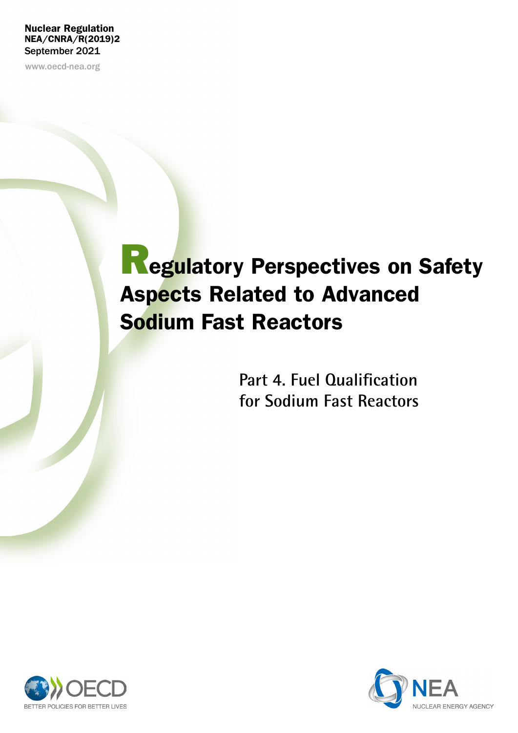#### Nuclear Regulation NEA/CNRA/R(2019)2 September 2021

www.oecd-nea.org

# **Regulatory Perspectives on Safety** Aspects Related to Advanced Sodium Fast Reactors

**Part 4. Fuel Qualification for Sodium Fast Reactors**



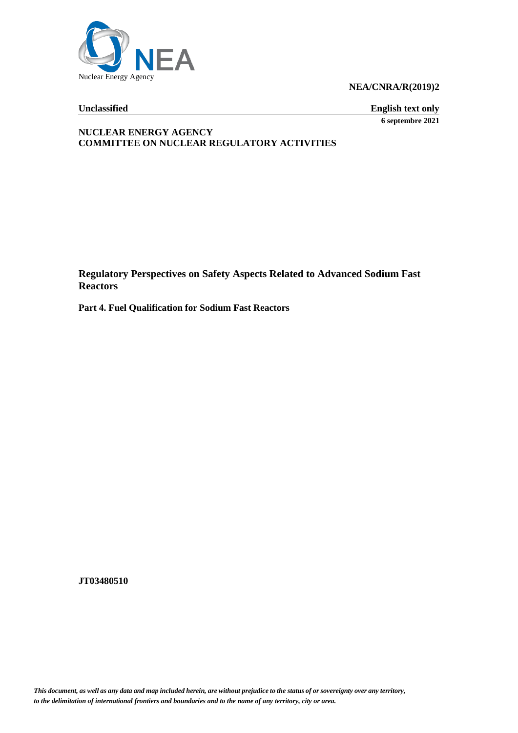

**NEA/CNRA/R(2019)2**

**Unclassified English text only 6 septembre 2021**

#### **NUCLEAR ENERGY AGENCY COMMITTEE ON NUCLEAR REGULATORY ACTIVITIES**

**Regulatory Perspectives on Safety Aspects Related to Advanced Sodium Fast Reactors**

**Part 4. Fuel Qualification for Sodium Fast Reactors**

**JT03480510**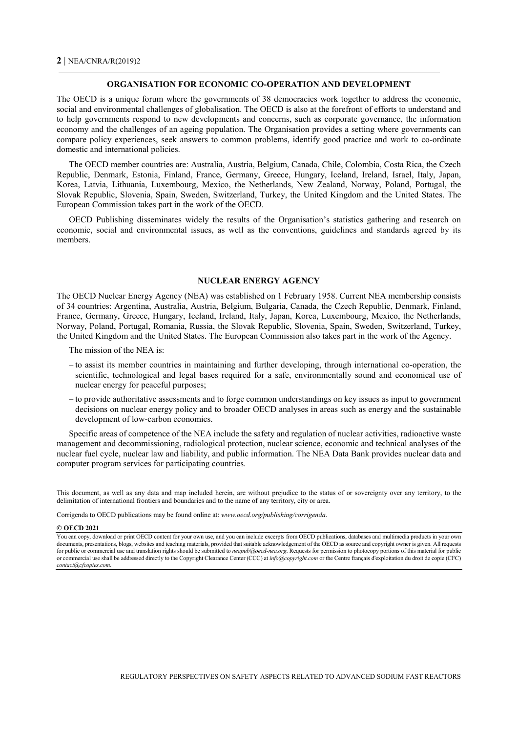#### **ORGANISATION FOR ECONOMIC CO-OPERATION AND DEVELOPMENT**

The OECD is a unique forum where the governments of 38 democracies work together to address the economic, social and environmental challenges of globalisation. The OECD is also at the forefront of efforts to understand and to help governments respond to new developments and concerns, such as corporate governance, the information economy and the challenges of an ageing population. The Organisation provides a setting where governments can compare policy experiences, seek answers to common problems, identify good practice and work to co-ordinate domestic and international policies.

The OECD member countries are: Australia, Austria, Belgium, Canada, Chile, Colombia, Costa Rica, the Czech Republic, Denmark, Estonia, Finland, France, Germany, Greece, Hungary, Iceland, Ireland, Israel, Italy, Japan, Korea, Latvia, Lithuania, Luxembourg, Mexico, the Netherlands, New Zealand, Norway, Poland, Portugal, the Slovak Republic, Slovenia, Spain, Sweden, Switzerland, Turkey, the United Kingdom and the United States. The European Commission takes part in the work of the OECD.

OECD Publishing disseminates widely the results of the Organisation's statistics gathering and research on economic, social and environmental issues, as well as the conventions, guidelines and standards agreed by its members.

#### **NUCLEAR ENERGY AGENCY**

The OECD Nuclear Energy Agency (NEA) was established on 1 February 1958. Current NEA membership consists of 34 countries: Argentina, Australia, Austria, Belgium, Bulgaria, Canada, the Czech Republic, Denmark, Finland, France, Germany, Greece, Hungary, Iceland, Ireland, Italy, Japan, Korea, Luxembourg, Mexico, the Netherlands, Norway, Poland, Portugal, Romania, Russia, the Slovak Republic, Slovenia, Spain, Sweden, Switzerland, Turkey, the United Kingdom and the United States. The European Commission also takes part in the work of the Agency.

The mission of the NEA is:

- to assist its member countries in maintaining and further developing, through international co-operation, the scientific, technological and legal bases required for a safe, environmentally sound and economical use of nuclear energy for peaceful purposes;
- to provide authoritative assessments and to forge common understandings on key issues as input to government decisions on nuclear energy policy and to broader OECD analyses in areas such as energy and the sustainable development of low-carbon economies.

Specific areas of competence of the NEA include the safety and regulation of nuclear activities, radioactive waste management and decommissioning, radiological protection, nuclear science, economic and technical analyses of the nuclear fuel cycle, nuclear law and liability, and public information. The NEA Data Bank provides nuclear data and computer program services for participating countries.

This document, as well as any data and map included herein, are without prejudice to the status of or sovereignty over any territory, to the delimitation of international frontiers and boundaries and to the name of any territory, city or area.

Corrigenda to OECD publications may be found online at: *www.oecd.org/publishing/corrigenda*.

#### **© OECD 2021**

You can copy, download or print OECD content for your own use, and you can include excerpts from OECD publications, databases and multimedia products in your own documents, presentations, blogs, websites and teaching materials, provided that suitable acknowledgement of the OECD as source and copyright owner is given. All requests for public or commercial use and translation rights should be submitted to *neapub@oecd-nea.org*. Requests for permission to photocopy portions of this material for public or commercial use shall be addressed directly to the Copyright Clearance Center (CCC) at *info@copyright.com* or the Centre français d'exploitation du droit de copie (CFC) *contact@cfcopies.com*.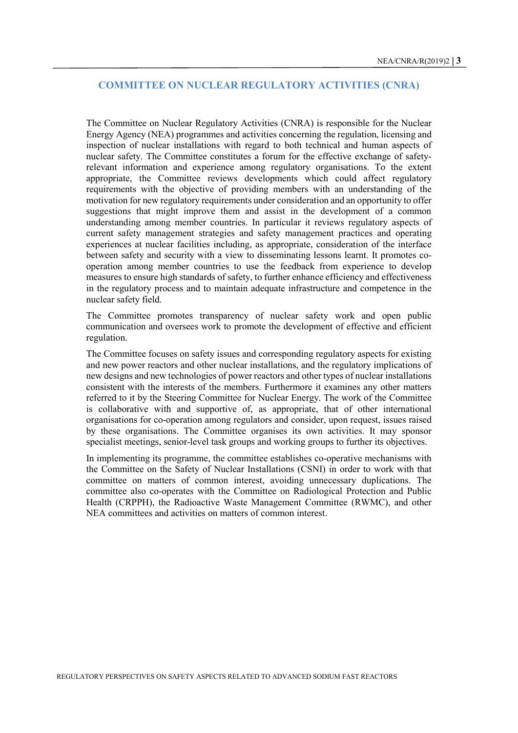#### **COMMITTEE ON NUCLEAR REGULATORY ACTIVITIES (CNRA)**

The Committee on Nuclear Regulatory Activities (CNRA) is responsible for the Nuclear Energy Agency (NEA) programmes and activities concerning the regulation, licensing and inspection of nuclear installations with regard to both technical and human aspects of nuclear safety. The Committee constitutes a forum for the effective exchange of safetyrelevant information and experience among regulatory organisations. To the extent appropriate, the Committee reviews developments which could affect regulatory requirements with the objective of providing members with an understanding of the motivation for new regulatory requirements under consideration and an opportunity to offer suggestions that might improve them and assist in the development of a common understanding among member countries. In particular it reviews regulatory aspects of current safety management strategies and safety management practices and operating experiences at nuclear facilities including, as appropriate, consideration of the interface between safety and security with a view to disseminating lessons learnt. It promotes cooperation among member countries to use the feedback from experience to develop measures to ensure high standards of safety, to further enhance efficiency and effectiveness in the regulatory process and to maintain adequate infrastructure and competence in the nuclear safety field.

The Committee promotes transparency of nuclear safety work and open public communication and oversees work to promote the development of effective and efficient regulation.

The Committee focuses on safety issues and corresponding regulatory aspects for existing and new power reactors and other nuclear installations, and the regulatory implications of new designs and new technologies of power reactors and other types of nuclear installations consistent with the interests of the members. Furthermore it examines any other matters referred to it by the Steering Committee for Nuclear Energy. The work of the Committee is collaborative with and supportive of, as appropriate, that of other international organisations for co-operation among regulators and consider, upon request, issues raised by these organisations. The Committee organises its own activities. It may sponsor specialist meetings, senior-level task groups and working groups to further its objectives.

In implementing its programme, the committee establishes co-operative mechanisms with the Committee on the Safety of Nuclear Installations (CSNI) in order to work with that committee on matters of common interest, avoiding unnecessary duplications. The committee also co-operates with the Committee on Radiological Protection and Public Health (CRPPH), the Radioactive Waste Management Committee (RWMC), and other NEA committees and activities on matters of common interest.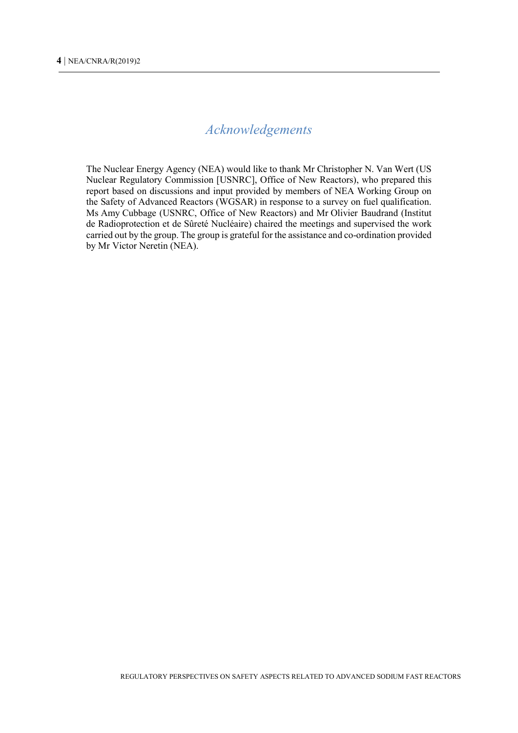### *Acknowledgements*

The Nuclear Energy Agency (NEA) would like to thank Mr Christopher N. Van Wert (US Nuclear Regulatory Commission [USNRC], Office of New Reactors), who prepared this report based on discussions and input provided by members of NEA Working Group on the Safety of Advanced Reactors (WGSAR) in response to a survey on fuel qualification. Ms Amy Cubbage (USNRC, Office of New Reactors) and Mr Olivier Baudrand (Institut de Radioprotection et de Sûreté Nucléaire) chaired the meetings and supervised the work carried out by the group. The group is grateful for the assistance and co-ordination provided by Mr Victor Neretin (NEA).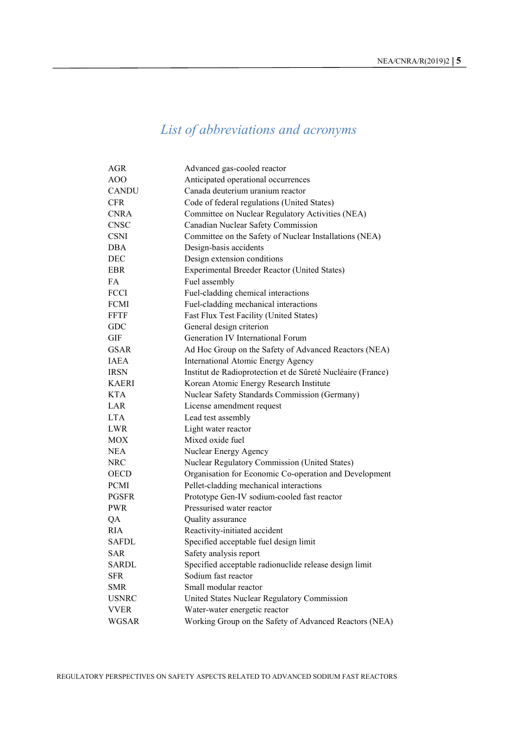## *List of abbreviations and acronyms*

<span id="page-6-0"></span>

| AGR          | Advanced gas-cooled reactor                                 |
|--------------|-------------------------------------------------------------|
| <b>AOO</b>   | Anticipated operational occurrences                         |
| <b>CANDU</b> | Canada deuterium uranium reactor                            |
| <b>CFR</b>   | Code of federal regulations (United States)                 |
| <b>CNRA</b>  | Committee on Nuclear Regulatory Activities (NEA)            |
| <b>CNSC</b>  | Canadian Nuclear Safety Commission                          |
| <b>CSNI</b>  | Committee on the Safety of Nuclear Installations (NEA)      |
| DBA          | Design-basis accidents                                      |
| <b>DEC</b>   | Design extension conditions                                 |
| EBR          | Experimental Breeder Reactor (United States)                |
| FA           | Fuel assembly                                               |
| FCCI         | Fuel-cladding chemical interactions                         |
| <b>FCMI</b>  | Fuel-cladding mechanical interactions                       |
| <b>FFTF</b>  | Fast Flux Test Facility (United States)                     |
| <b>GDC</b>   | General design criterion                                    |
| GIF          | Generation IV International Forum                           |
| <b>GSAR</b>  | Ad Hoc Group on the Safety of Advanced Reactors (NEA)       |
| <b>IAEA</b>  | International Atomic Energy Agency                          |
| <b>IRSN</b>  | Institut de Radioprotection et de Sûreté Nucléaire (France) |
| <b>KAERI</b> | Korean Atomic Energy Research Institute                     |
| <b>KTA</b>   | Nuclear Safety Standards Commission (Germany)               |
| LAR          | License amendment request                                   |
| <b>LTA</b>   | Lead test assembly                                          |
| LWR          | Light water reactor                                         |
| MOX          | Mixed oxide fuel                                            |
| <b>NEA</b>   | Nuclear Energy Agency                                       |
| NRC          | Nuclear Regulatory Commission (United States)               |
| <b>OECD</b>  | Organisation for Economic Co-operation and Development      |
| <b>PCMI</b>  | Pellet-cladding mechanical interactions                     |
| <b>PGSFR</b> | Prototype Gen-IV sodium-cooled fast reactor                 |
| <b>PWR</b>   | Pressurised water reactor                                   |
| QA           | Quality assurance                                           |
| <b>RIA</b>   | Reactivity-initiated accident                               |
| <b>SAFDL</b> | Specified acceptable fuel design limit                      |
| SAR          | Safety analysis report                                      |
| SARDL        | Specified acceptable radionuclide release design limit      |
| <b>SFR</b>   | Sodium fast reactor                                         |
| SMR          | Small modular reactor                                       |
| <b>USNRC</b> | United States Nuclear Regulatory Commission                 |
| <b>VVER</b>  | Water-water energetic reactor                               |
| <b>WGSAR</b> | Working Group on the Safety of Advanced Reactors (NEA)      |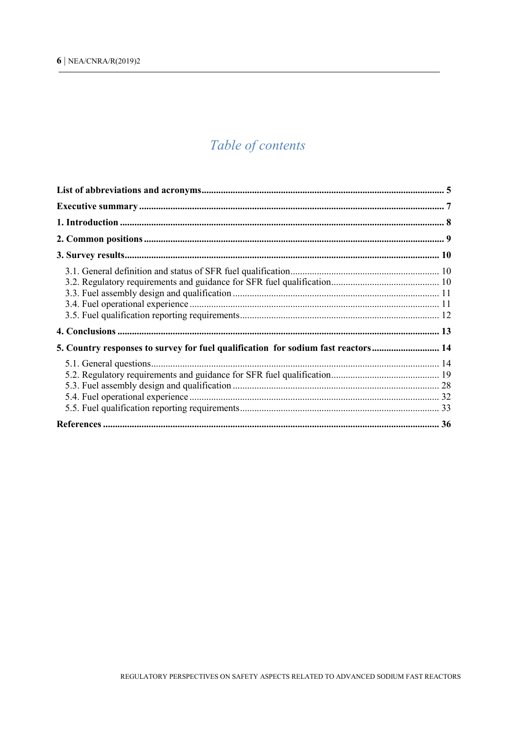### Table of contents

| 5. Country responses to survey for fuel qualification for sodium fast reactors 14 |  |
|-----------------------------------------------------------------------------------|--|
|                                                                                   |  |
|                                                                                   |  |
|                                                                                   |  |
|                                                                                   |  |
|                                                                                   |  |
|                                                                                   |  |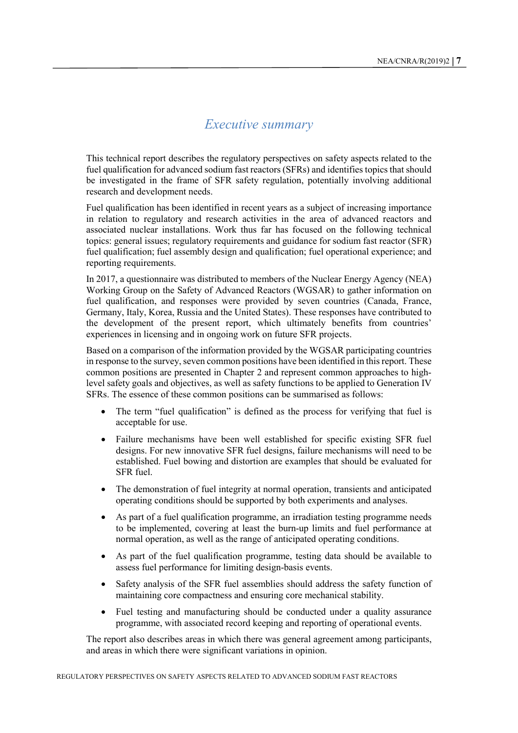#### *Executive summary*

<span id="page-8-0"></span>This technical report describes the regulatory perspectives on safety aspects related to the fuel qualification for advanced sodium fast reactors (SFRs) and identifies topics that should be investigated in the frame of SFR safety regulation, potentially involving additional research and development needs.

Fuel qualification has been identified in recent years as a subject of increasing importance in relation to regulatory and research activities in the area of advanced reactors and associated nuclear installations. Work thus far has focused on the following technical topics: general issues; regulatory requirements and guidance for sodium fast reactor (SFR) fuel qualification; fuel assembly design and qualification; fuel operational experience; and reporting requirements.

In 2017, a questionnaire was distributed to members of the Nuclear Energy Agency (NEA) Working Group on the Safety of Advanced Reactors (WGSAR) to gather information on fuel qualification, and responses were provided by seven countries (Canada, France, Germany, Italy, Korea, Russia and the United States). These responses have contributed to the development of the present report, which ultimately benefits from countries' experiences in licensing and in ongoing work on future SFR projects.

Based on a comparison of the information provided by the WGSAR participating countries in response to the survey, seven common positions have been identified in this report. These common positions are presented in Chapter 2 and represent common approaches to highlevel safety goals and objectives, as well as safety functions to be applied to Generation IV SFRs. The essence of these common positions can be summarised as follows:

- The term "fuel qualification" is defined as the process for verifying that fuel is acceptable for use.
- Failure mechanisms have been well established for specific existing SFR fuel designs. For new innovative SFR fuel designs, failure mechanisms will need to be established. Fuel bowing and distortion are examples that should be evaluated for SFR fuel.
- The demonstration of fuel integrity at normal operation, transients and anticipated operating conditions should be supported by both experiments and analyses.
- As part of a fuel qualification programme, an irradiation testing programme needs to be implemented, covering at least the burn-up limits and fuel performance at normal operation, as well as the range of anticipated operating conditions.
- As part of the fuel qualification programme, testing data should be available to assess fuel performance for limiting design-basis events.
- Safety analysis of the SFR fuel assemblies should address the safety function of maintaining core compactness and ensuring core mechanical stability.
- Fuel testing and manufacturing should be conducted under a quality assurance programme, with associated record keeping and reporting of operational events.

The report also describes areas in which there was general agreement among participants, and areas in which there were significant variations in opinion.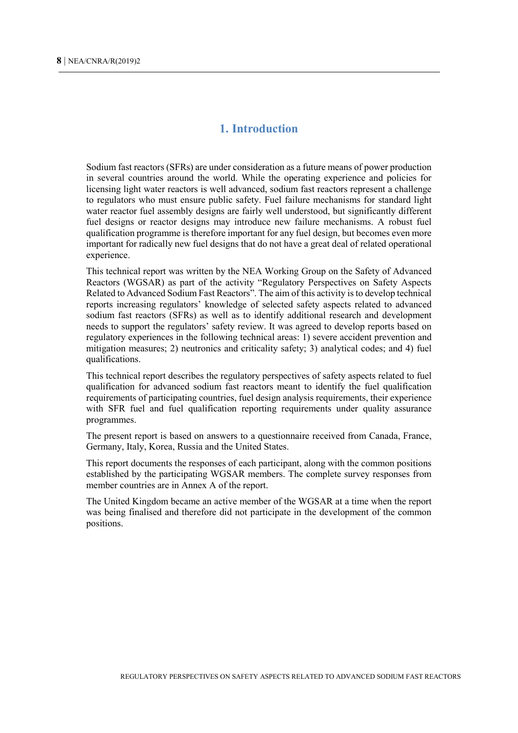#### **1. Introduction**

<span id="page-9-0"></span>Sodium fast reactors (SFRs) are under consideration as a future means of power production in several countries around the world. While the operating experience and policies for licensing light water reactors is well advanced, sodium fast reactors represent a challenge to regulators who must ensure public safety. Fuel failure mechanisms for standard light water reactor fuel assembly designs are fairly well understood, but significantly different fuel designs or reactor designs may introduce new failure mechanisms. A robust fuel qualification programme is therefore important for any fuel design, but becomes even more important for radically new fuel designs that do not have a great deal of related operational experience.

This technical report was written by the NEA Working Group on the Safety of Advanced Reactors (WGSAR) as part of the activity "Regulatory Perspectives on Safety Aspects Related to Advanced Sodium Fast Reactors". The aim of this activity is to develop technical reports increasing regulators' knowledge of selected safety aspects related to advanced sodium fast reactors (SFRs) as well as to identify additional research and development needs to support the regulators' safety review. It was agreed to develop reports based on regulatory experiences in the following technical areas: 1) severe accident prevention and mitigation measures; 2) neutronics and criticality safety; 3) analytical codes; and 4) fuel qualifications.

This technical report describes the regulatory perspectives of safety aspects related to fuel qualification for advanced sodium fast reactors meant to identify the fuel qualification requirements of participating countries, fuel design analysis requirements, their experience with SFR fuel and fuel qualification reporting requirements under quality assurance programmes.

The present report is based on answers to a questionnaire received from Canada, France, Germany, Italy, Korea, Russia and the United States.

This report documents the responses of each participant, along with the common positions established by the participating WGSAR members. The complete survey responses from member countries are in Annex A of the report.

The United Kingdom became an active member of the WGSAR at a time when the report was being finalised and therefore did not participate in the development of the common positions.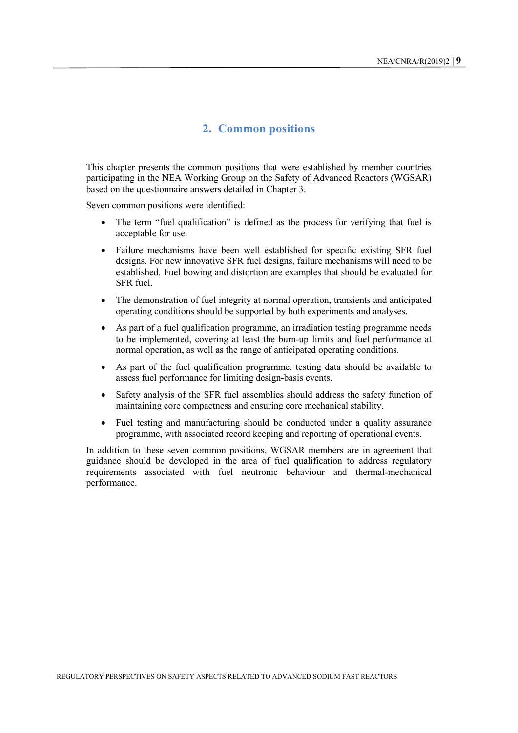#### <span id="page-10-0"></span>**2. Common positions**

This chapter presents the common positions that were established by member countries participating in the NEA Working Group on the Safety of Advanced Reactors (WGSAR) based on the questionnaire answers detailed in Chapter 3.

Seven common positions were identified:

- The term "fuel qualification" is defined as the process for verifying that fuel is acceptable for use.
- Failure mechanisms have been well established for specific existing SFR fuel designs. For new innovative SFR fuel designs, failure mechanisms will need to be established. Fuel bowing and distortion are examples that should be evaluated for SFR fuel.
- The demonstration of fuel integrity at normal operation, transients and anticipated operating conditions should be supported by both experiments and analyses.
- As part of a fuel qualification programme, an irradiation testing programme needs to be implemented, covering at least the burn-up limits and fuel performance at normal operation, as well as the range of anticipated operating conditions.
- As part of the fuel qualification programme, testing data should be available to assess fuel performance for limiting design-basis events.
- Safety analysis of the SFR fuel assemblies should address the safety function of maintaining core compactness and ensuring core mechanical stability.
- Fuel testing and manufacturing should be conducted under a quality assurance programme, with associated record keeping and reporting of operational events.

In addition to these seven common positions, WGSAR members are in agreement that guidance should be developed in the area of fuel qualification to address regulatory requirements associated with fuel neutronic behaviour and thermal-mechanical performance.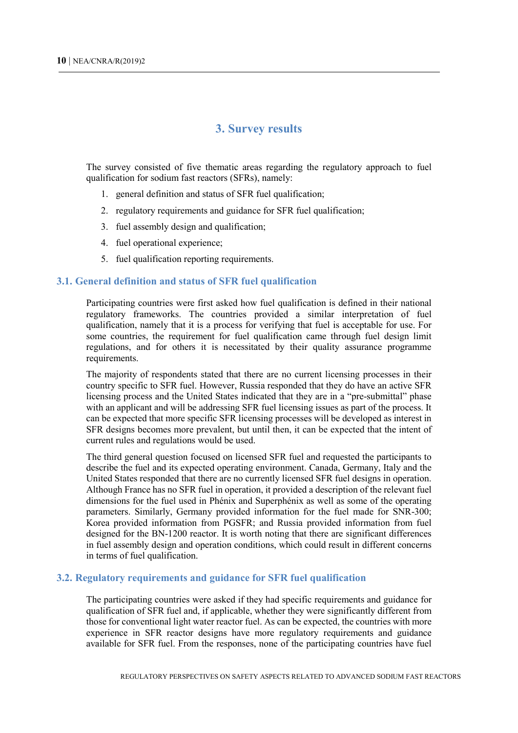#### **3. Survey results**

<span id="page-11-0"></span>The survey consisted of five thematic areas regarding the regulatory approach to fuel qualification for sodium fast reactors (SFRs), namely:

- 1. general definition and status of SFR fuel qualification;
- 2. regulatory requirements and guidance for SFR fuel qualification;
- 3. fuel assembly design and qualification;
- 4. fuel operational experience;
- 5. fuel qualification reporting requirements.

#### <span id="page-11-1"></span>**3.1. General definition and status of SFR fuel qualification**

Participating countries were first asked how fuel qualification is defined in their national regulatory frameworks. The countries provided a similar interpretation of fuel qualification, namely that it is a process for verifying that fuel is acceptable for use. For some countries, the requirement for fuel qualification came through fuel design limit regulations, and for others it is necessitated by their quality assurance programme requirements.

The majority of respondents stated that there are no current licensing processes in their country specific to SFR fuel. However, Russia responded that they do have an active SFR licensing process and the United States indicated that they are in a "pre-submittal" phase with an applicant and will be addressing SFR fuel licensing issues as part of the process. It can be expected that more specific SFR licensing processes will be developed as interest in SFR designs becomes more prevalent, but until then, it can be expected that the intent of current rules and regulations would be used.

The third general question focused on licensed SFR fuel and requested the participants to describe the fuel and its expected operating environment. Canada, Germany, Italy and the United States responded that there are no currently licensed SFR fuel designs in operation. Although France has no SFR fuel in operation, it provided a description of the relevant fuel dimensions for the fuel used in Phénix and Superphénix as well as some of the operating parameters. Similarly, Germany provided information for the fuel made for SNR-300; Korea provided information from PGSFR; and Russia provided information from fuel designed for the BN-1200 reactor. It is worth noting that there are significant differences in fuel assembly design and operation conditions, which could result in different concerns in terms of fuel qualification.

#### <span id="page-11-2"></span>**3.2. Regulatory requirements and guidance for SFR fuel qualification**

The participating countries were asked if they had specific requirements and guidance for qualification of SFR fuel and, if applicable, whether they were significantly different from those for conventional light water reactor fuel. As can be expected, the countries with more experience in SFR reactor designs have more regulatory requirements and guidance available for SFR fuel. From the responses, none of the participating countries have fuel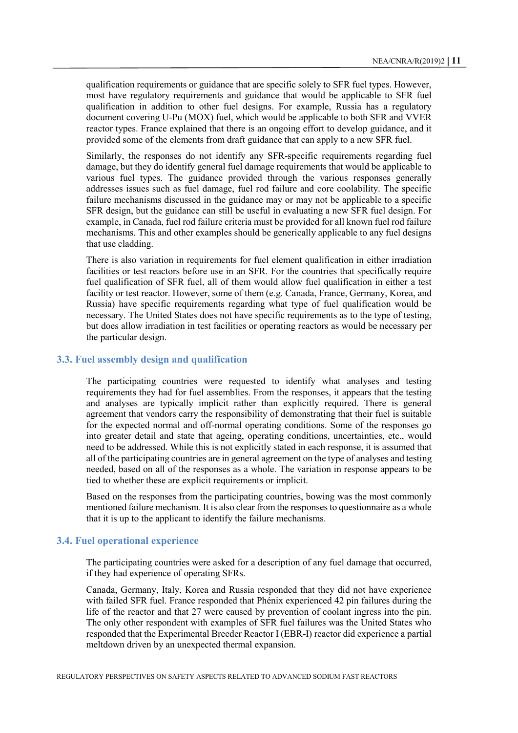qualification requirements or guidance that are specific solely to SFR fuel types. However, most have regulatory requirements and guidance that would be applicable to SFR fuel qualification in addition to other fuel designs. For example, Russia has a regulatory document covering U-Pu (MOX) fuel, which would be applicable to both SFR and VVER reactor types. France explained that there is an ongoing effort to develop guidance, and it provided some of the elements from draft guidance that can apply to a new SFR fuel.

Similarly, the responses do not identify any SFR-specific requirements regarding fuel damage, but they do identify general fuel damage requirements that would be applicable to various fuel types. The guidance provided through the various responses generally addresses issues such as fuel damage, fuel rod failure and core coolability. The specific failure mechanisms discussed in the guidance may or may not be applicable to a specific SFR design, but the guidance can still be useful in evaluating a new SFR fuel design. For example, in Canada, fuel rod failure criteria must be provided for all known fuel rod failure mechanisms. This and other examples should be generically applicable to any fuel designs that use cladding.

There is also variation in requirements for fuel element qualification in either irradiation facilities or test reactors before use in an SFR. For the countries that specifically require fuel qualification of SFR fuel, all of them would allow fuel qualification in either a test facility or test reactor. However, some of them (e.g. Canada, France, Germany, Korea, and Russia) have specific requirements regarding what type of fuel qualification would be necessary. The United States does not have specific requirements as to the type of testing, but does allow irradiation in test facilities or operating reactors as would be necessary per the particular design.

#### <span id="page-12-0"></span>**3.3. Fuel assembly design and qualification**

The participating countries were requested to identify what analyses and testing requirements they had for fuel assemblies. From the responses, it appears that the testing and analyses are typically implicit rather than explicitly required. There is general agreement that vendors carry the responsibility of demonstrating that their fuel is suitable for the expected normal and off-normal operating conditions. Some of the responses go into greater detail and state that ageing, operating conditions, uncertainties, etc., would need to be addressed. While this is not explicitly stated in each response, it is assumed that all of the participating countries are in general agreement on the type of analyses and testing needed, based on all of the responses as a whole. The variation in response appears to be tied to whether these are explicit requirements or implicit.

Based on the responses from the participating countries, bowing was the most commonly mentioned failure mechanism. It is also clear from the responses to questionnaire as a whole that it is up to the applicant to identify the failure mechanisms.

#### <span id="page-12-1"></span>**3.4. Fuel operational experience**

The participating countries were asked for a description of any fuel damage that occurred, if they had experience of operating SFRs.

Canada, Germany, Italy, Korea and Russia responded that they did not have experience with failed SFR fuel. France responded that Phénix experienced 42 pin failures during the life of the reactor and that 27 were caused by prevention of coolant ingress into the pin. The only other respondent with examples of SFR fuel failures was the United States who responded that the Experimental Breeder Reactor I (EBR-I) reactor did experience a partial meltdown driven by an unexpected thermal expansion.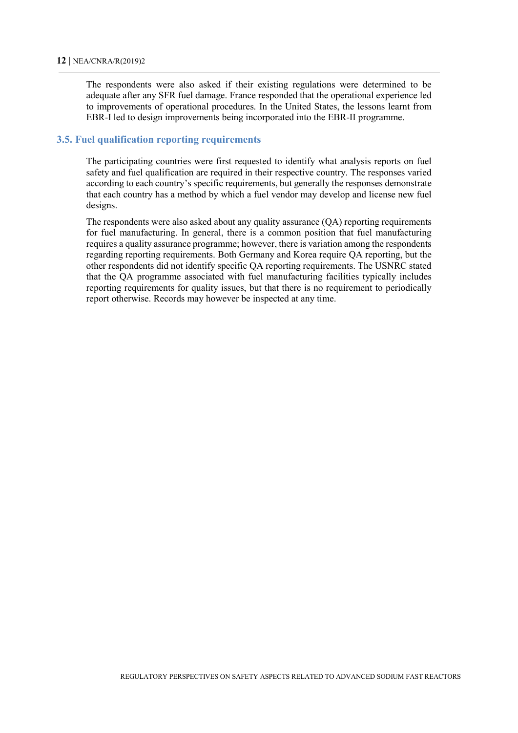The respondents were also asked if their existing regulations were determined to be adequate after any SFR fuel damage. France responded that the operational experience led to improvements of operational procedures. In the United States, the lessons learnt from EBR-I led to design improvements being incorporated into the EBR-II programme.

#### <span id="page-13-0"></span>**3.5. Fuel qualification reporting requirements**

The participating countries were first requested to identify what analysis reports on fuel safety and fuel qualification are required in their respective country. The responses varied according to each country's specific requirements, but generally the responses demonstrate that each country has a method by which a fuel vendor may develop and license new fuel designs.

The respondents were also asked about any quality assurance (QA) reporting requirements for fuel manufacturing. In general, there is a common position that fuel manufacturing requires a quality assurance programme; however, there is variation among the respondents regarding reporting requirements. Both Germany and Korea require QA reporting, but the other respondents did not identify specific QA reporting requirements. The USNRC stated that the QA programme associated with fuel manufacturing facilities typically includes reporting requirements for quality issues, but that there is no requirement to periodically report otherwise. Records may however be inspected at any time.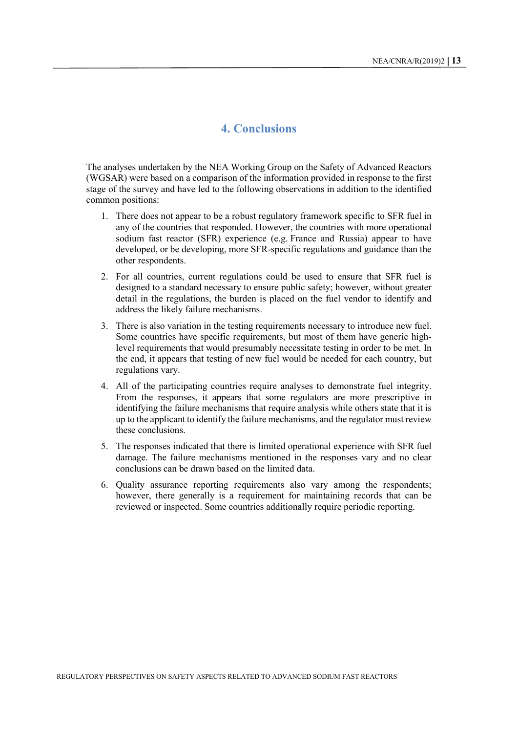#### **4. Conclusions**

<span id="page-14-0"></span>The analyses undertaken by the NEA Working Group on the Safety of Advanced Reactors (WGSAR) were based on a comparison of the information provided in response to the first stage of the survey and have led to the following observations in addition to the identified common positions:

- 1. There does not appear to be a robust regulatory framework specific to SFR fuel in any of the countries that responded. However, the countries with more operational sodium fast reactor (SFR) experience (e.g. France and Russia) appear to have developed, or be developing, more SFR-specific regulations and guidance than the other respondents.
- 2. For all countries, current regulations could be used to ensure that SFR fuel is designed to a standard necessary to ensure public safety; however, without greater detail in the regulations, the burden is placed on the fuel vendor to identify and address the likely failure mechanisms.
- 3. There is also variation in the testing requirements necessary to introduce new fuel. Some countries have specific requirements, but most of them have generic highlevel requirements that would presumably necessitate testing in order to be met. In the end, it appears that testing of new fuel would be needed for each country, but regulations vary.
- 4. All of the participating countries require analyses to demonstrate fuel integrity. From the responses, it appears that some regulators are more prescriptive in identifying the failure mechanisms that require analysis while others state that it is up to the applicant to identify the failure mechanisms, and the regulator must review these conclusions.
- 5. The responses indicated that there is limited operational experience with SFR fuel damage. The failure mechanisms mentioned in the responses vary and no clear conclusions can be drawn based on the limited data.
- 6. Quality assurance reporting requirements also vary among the respondents; however, there generally is a requirement for maintaining records that can be reviewed or inspected. Some countries additionally require periodic reporting.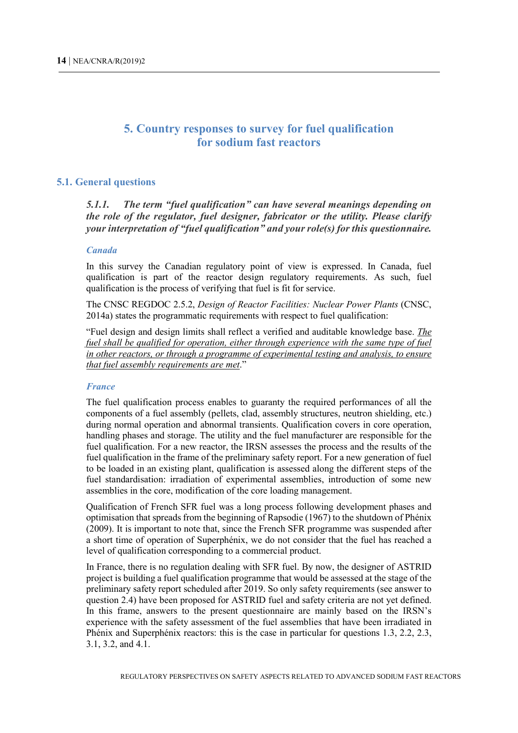#### <span id="page-15-0"></span>**5. Country responses to survey for fuel qualification for sodium fast reactors**

#### <span id="page-15-1"></span>**5.1. General questions**

*5.1.1. The term "fuel qualification" can have several meanings depending on the role of the regulator, fuel designer, fabricator or the utility. Please clarify your interpretation of "fuel qualification" and your role(s) for this questionnaire.*

#### *Canada*

In this survey the Canadian regulatory point of view is expressed. In Canada, fuel qualification is part of the reactor design regulatory requirements. As such, fuel qualification is the process of verifying that fuel is fit for service.

The CNSC REGDOC 2.5.2, *Design of Reactor Facilities: Nuclear Power Plants* (CNSC, 2014a) states the programmatic requirements with respect to fuel qualification:

"Fuel design and design limits shall reflect a verified and auditable knowledge base. *The fuel shall be qualified for operation, either through experience with the same type of fuel in other reactors, or through a programme of experimental testing and analysis, to ensure that fuel assembly requirements are met*."

#### *France*

The fuel qualification process enables to guaranty the required performances of all the components of a fuel assembly (pellets, clad, assembly structures, neutron shielding, etc.) during normal operation and abnormal transients. Qualification covers in core operation, handling phases and storage. The utility and the fuel manufacturer are responsible for the fuel qualification. For a new reactor, the IRSN assesses the process and the results of the fuel qualification in the frame of the preliminary safety report. For a new generation of fuel to be loaded in an existing plant, qualification is assessed along the different steps of the fuel standardisation: irradiation of experimental assemblies, introduction of some new assemblies in the core, modification of the core loading management.

Qualification of French SFR fuel was a long process following development phases and optimisation that spreads from the beginning of Rapsodie (1967) to the shutdown of Phénix (2009). It is important to note that, since the French SFR programme was suspended after a short time of operation of Superphénix, we do not consider that the fuel has reached a level of qualification corresponding to a commercial product.

In France, there is no regulation dealing with SFR fuel. By now, the designer of ASTRID project is building a fuel qualification programme that would be assessed at the stage of the preliminary safety report scheduled after 2019. So only safety requirements (see answer to question 2.4) have been proposed for ASTRID fuel and safety criteria are not yet defined. In this frame, answers to the present questionnaire are mainly based on the IRSN's experience with the safety assessment of the fuel assemblies that have been irradiated in Phénix and Superphénix reactors: this is the case in particular for questions 1.3, 2.2, 2.3, 3.1, 3.2, and 4.1.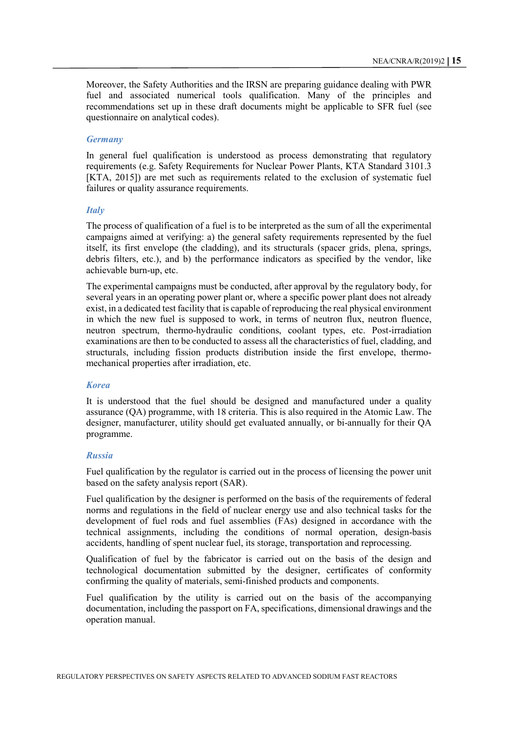Moreover, the Safety Authorities and the IRSN are preparing guidance dealing with PWR fuel and associated numerical tools qualification. Many of the principles and recommendations set up in these draft documents might be applicable to SFR fuel (see questionnaire on analytical codes).

#### *Germany*

In general fuel qualification is understood as process demonstrating that regulatory requirements (e.g. Safety Requirements for Nuclear Power Plants, KTA Standard 3101.3 [KTA, 2015]) are met such as requirements related to the exclusion of systematic fuel failures or quality assurance requirements.

#### *Italy*

The process of qualification of a fuel is to be interpreted as the sum of all the experimental campaigns aimed at verifying: a) the general safety requirements represented by the fuel itself, its first envelope (the cladding), and its structurals (spacer grids, plena, springs, debris filters, etc.), and b) the performance indicators as specified by the vendor, like achievable burn-up, etc.

The experimental campaigns must be conducted, after approval by the regulatory body, for several years in an operating power plant or, where a specific power plant does not already exist, in a dedicated test facility that is capable of reproducing the real physical environment in which the new fuel is supposed to work, in terms of neutron flux, neutron fluence, neutron spectrum, thermo-hydraulic conditions, coolant types, etc. Post-irradiation examinations are then to be conducted to assess all the characteristics of fuel, cladding, and structurals, including fission products distribution inside the first envelope, thermomechanical properties after irradiation, etc.

#### *Korea*

It is understood that the fuel should be designed and manufactured under a quality assurance (QA) programme, with 18 criteria. This is also required in the Atomic Law. The designer, manufacturer, utility should get evaluated annually, or bi-annually for their QA programme.

#### *Russia*

Fuel qualification by the regulator is carried out in the process of licensing the power unit based on the safety analysis report (SAR).

Fuel qualification by the designer is performed on the basis of the requirements of federal norms and regulations in the field of nuclear energy use and also technical tasks for the development of fuel rods and fuel assemblies (FAs) designed in accordance with the technical assignments, including the conditions of normal operation, design-basis accidents, handling of spent nuclear fuel, its storage, transportation and reprocessing.

Qualification of fuel by the fabricator is carried out on the basis of the design and technological documentation submitted by the designer, certificates of conformity confirming the quality of materials, semi-finished products and components.

Fuel qualification by the utility is carried out on the basis of the accompanying documentation, including the passport on FA, specifications, dimensional drawings and the operation manual.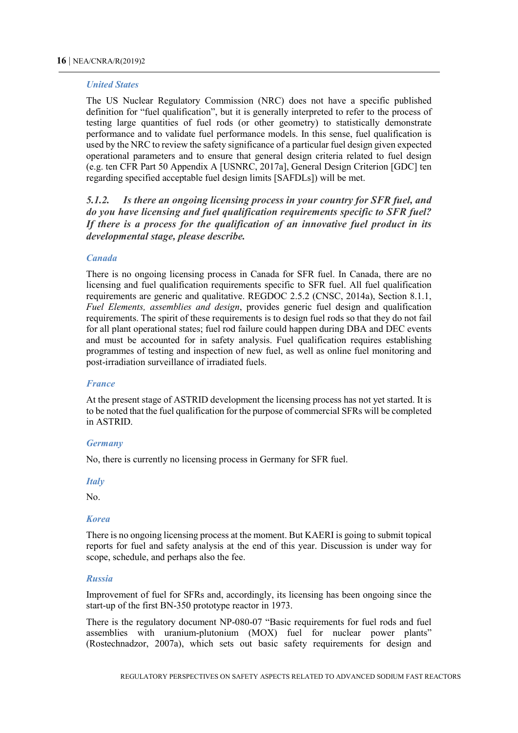#### *United States*

The US Nuclear Regulatory Commission (NRC) does not have a specific published definition for "fuel qualification", but it is generally interpreted to refer to the process of testing large quantities of fuel rods (or other geometry) to statistically demonstrate performance and to validate fuel performance models. In this sense, fuel qualification is used by the NRC to review the safety significance of a particular fuel design given expected operational parameters and to ensure that general design criteria related to fuel design (e.g. ten CFR Part 50 Appendix A [USNRC, 2017a], General Design Criterion [GDC] ten regarding specified acceptable fuel design limits [SAFDLs]) will be met.

*5.1.2. Is there an ongoing licensing process in your country for SFR fuel, and do you have licensing and fuel qualification requirements specific to SFR fuel? If there is a process for the qualification of an innovative fuel product in its developmental stage, please describe.* 

#### *Canada*

There is no ongoing licensing process in Canada for SFR fuel. In Canada, there are no licensing and fuel qualification requirements specific to SFR fuel. All fuel qualification requirements are generic and qualitative. REGDOC 2.5.2 (CNSC, 2014a), Section 8.1.1, *Fuel Elements, assemblies and design*, provides generic fuel design and qualification requirements. The spirit of these requirements is to design fuel rods so that they do not fail for all plant operational states; fuel rod failure could happen during DBA and DEC events and must be accounted for in safety analysis. Fuel qualification requires establishing programmes of testing and inspection of new fuel, as well as online fuel monitoring and post-irradiation surveillance of irradiated fuels.

#### *France*

At the present stage of ASTRID development the licensing process has not yet started. It is to be noted that the fuel qualification for the purpose of commercial SFRs will be completed in ASTRID.

#### *Germany*

No, there is currently no licensing process in Germany for SFR fuel.

#### *Italy*

No.

#### *Korea*

There is no ongoing licensing process at the moment. But KAERI is going to submit topical reports for fuel and safety analysis at the end of this year. Discussion is under way for scope, schedule, and perhaps also the fee.

#### *Russia*

Improvement of fuel for SFRs and, accordingly, its licensing has been ongoing since the start-up of the first BN-350 prototype reactor in 1973.

There is the regulatory document NP-080-07 "Basic requirements for fuel rods and fuel assemblies with uranium-plutonium (MOX) fuel for nuclear power plants" (Rostechnadzor, 2007a), which sets out basic safety requirements for design and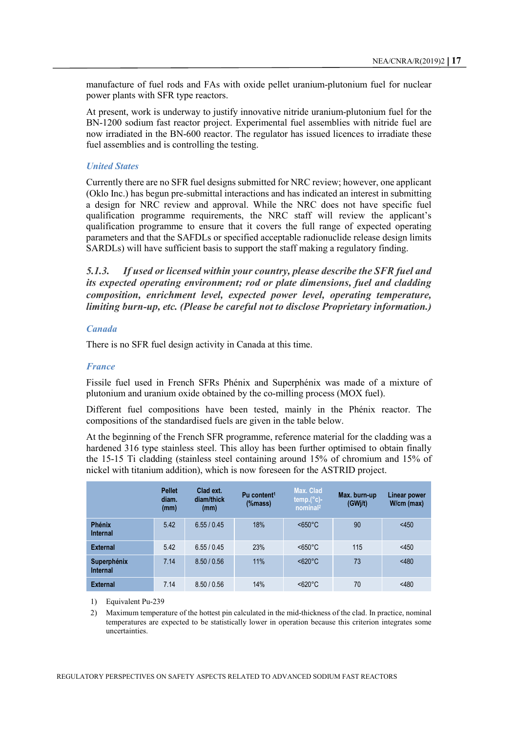manufacture of fuel rods and FAs with oxide pellet uranium-plutonium fuel for nuclear power plants with SFR type reactors.

At present, work is underway to justify innovative nitride uranium-plutonium fuel for the BN-1200 sodium fast reactor project. Experimental fuel assemblies with nitride fuel are now irradiated in the BN-600 reactor. The regulator has issued licences to irradiate these fuel assemblies and is controlling the testing.

#### *United States*

Currently there are no SFR fuel designs submitted for NRC review; however, one applicant (Oklo Inc.) has begun pre-submittal interactions and has indicated an interest in submitting a design for NRC review and approval. While the NRC does not have specific fuel qualification programme requirements, the NRC staff will review the applicant's qualification programme to ensure that it covers the full range of expected operating parameters and that the SAFDLs or specified acceptable radionuclide release design limits SARDLs) will have sufficient basis to support the staff making a regulatory finding.

*5.1.3. If used or licensed within your country, please describe the SFR fuel and its expected operating environment; rod or plate dimensions, fuel and cladding composition, enrichment level, expected power level, operating temperature, limiting burn-up, etc. (Please be careful not to disclose Proprietary information.)*

#### *Canada*

There is no SFR fuel design activity in Canada at this time.

#### *France*

Fissile fuel used in French SFRs Phénix and Superphénix was made of a mixture of plutonium and uranium oxide obtained by the co-milling process (MOX fuel).

Different fuel compositions have been tested, mainly in the Phénix reactor. The compositions of the standardised fuels are given in the table below.

At the beginning of the French SFR programme, reference material for the cladding was a hardened 316 type stainless steel. This alloy has been further optimised to obtain finally the 15-15 Ti cladding (stainless steel containing around 15% of chromium and 15% of nickel with titanium addition), which is now foreseen for the ASTRID project.

|                                  | <b>Pellet</b><br>diam.<br>(mm) | Clad ext.<br>diam/thick<br>(mm) | Pu content <sup>1</sup><br>%mass) | Max. Clad<br>$temp.(°c)$ -<br>nominal <sup>2</sup> | Max. burn-up<br>(GWj/t) | <b>Linear power</b><br>W/cm (max) |
|----------------------------------|--------------------------------|---------------------------------|-----------------------------------|----------------------------------------------------|-------------------------|-----------------------------------|
| <b>Phénix</b><br><b>Internal</b> | 5.42                           | 6.55/0.45                       | 18%                               | <650°C                                             | 90                      | < 450                             |
| <b>External</b>                  | 5.42                           | 6.55/0.45                       | 23%                               | <650°C                                             | 115                     | $<$ 450                           |
| Superphénix<br><b>Internal</b>   | 7.14                           | 8.50 / 0.56                     | 11%                               | <620°C                                             | 73                      | < 480                             |
| <b>External</b>                  | 7.14                           | 8.50 / 0.56                     | 14%                               | <620°C                                             | 70                      | < 480                             |

1) Equivalent Pu-239

2) Maximum temperature of the hottest pin calculated in the mid-thickness of the clad. In practice, nominal temperatures are expected to be statistically lower in operation because this criterion integrates some uncertainties.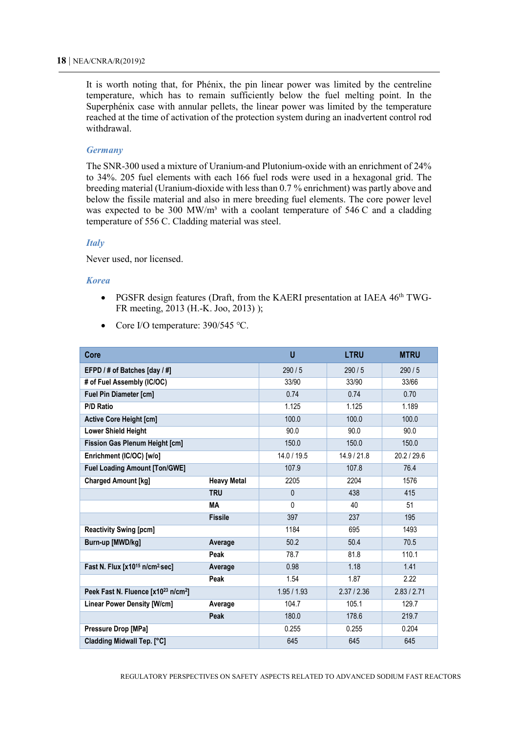It is worth noting that, for Phénix, the pin linear power was limited by the centreline temperature, which has to remain sufficiently below the fuel melting point. In the Superphénix case with annular pellets, the linear power was limited by the temperature reached at the time of activation of the protection system during an inadvertent control rod withdrawal.

#### *Germany*

The SNR-300 used a mixture of Uranium-and Plutonium-oxide with an enrichment of 24% to 34%. 205 fuel elements with each 166 fuel rods were used in a hexagonal grid. The breeding material (Uranium-dioxide with less than 0.7 % enrichment) was partly above and below the fissile material and also in mere breeding fuel elements. The core power level was expected to be 300 MW/m<sup>3</sup> with a coolant temperature of 546 C and a cladding temperature of 556 C. Cladding material was steel.

#### *Italy*

Never used, nor licensed.

#### *Korea*

- PGSFR design features (Draft, from the KAERI presentation at IAEA  $46<sup>th</sup> TWG-$ FR meeting, 2013 (H.-K. Joo, 2013) );
- Core I/O temperature: 390/545 ℃.

| Core                                                        |                    | U            | <b>LTRU</b> | <b>MTRU</b> |
|-------------------------------------------------------------|--------------------|--------------|-------------|-------------|
| EFPD / # of Batches [day / #]                               |                    | 290/5        | 290/5       | 290/5       |
| # of Fuel Assembly (IC/OC)                                  | 33/90              | 33/90        | 33/66       |             |
| <b>Fuel Pin Diameter [cm]</b>                               | 0.74               | 0.74         | 0.70        |             |
| <b>P/D Ratio</b>                                            | 1.125              | 1.125        | 1.189       |             |
| <b>Active Core Height [cm]</b>                              | 100.0              | 100.0        | 100.0       |             |
| <b>Lower Shield Height</b>                                  | 90.0               | 90.0         | 90.0        |             |
| <b>Fission Gas Plenum Height [cm]</b>                       | 150.0              | 150.0        | 150.0       |             |
| Enrichment (IC/OC) [w/o]                                    |                    | 14.0 / 19.5  | 14.9 / 21.8 | 20.2 / 29.6 |
| <b>Fuel Loading Amount [Ton/GWE]</b>                        |                    | 107.9        | 107.8       | 76.4        |
| <b>Charged Amount [kg]</b>                                  | <b>Heavy Metal</b> | 2205         | 2204        | 1576        |
|                                                             | <b>TRU</b>         | $\mathbf{0}$ | 438         | 415         |
|                                                             | MА                 | $\Omega$     | 40          | 51          |
|                                                             | <b>Fissile</b>     | 397          | 237         | 195         |
| <b>Reactivity Swing [pcm]</b>                               |                    | 1184         | 695         | 1493        |
| Burn-up [MWD/kg]                                            | Average            | 50.2         | 50.4        | 70.5        |
|                                                             | Peak               | 78.7         | 81.8        | 110.1       |
| Fast N. Flux [x10 <sup>15</sup> n/cm <sup>2</sup> sec]      | Average            | 0.98         | 1.18        | 1.41        |
|                                                             | Peak               | 1.54         | 1.87        | 2.22        |
| Peek Fast N. Fluence [x10 <sup>23</sup> n/cm <sup>2</sup> ] |                    | 1.95/1.93    | 2.37 / 2.36 | 2.83 / 2.71 |
| <b>Linear Power Density [W/cm]</b>                          | Average            | 104.7        | 105.1       | 129.7       |
|                                                             | Peak               | 180.0        | 178.6       | 219.7       |
| Pressure Drop [MPa]                                         |                    | 0.255        | 0.255       | 0.204       |
| Cladding Midwall Tep. [°C]                                  |                    | 645          | 645         | 645         |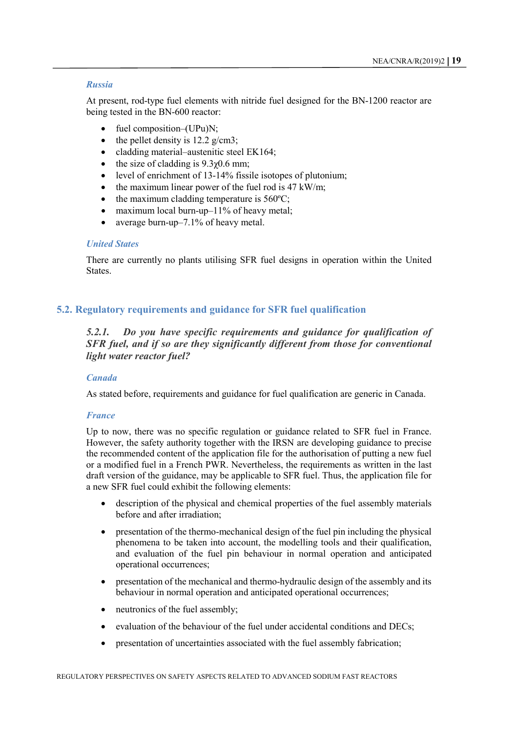#### *Russia*

At present, rod-type fuel elements with nitride fuel designed for the BN-1200 reactor are being tested in the BN-600 reactor:

- fuel composition–(UPu)N;
- the pellet density is  $12.2$  g/cm3;
- cladding material‒austenitic steel EK164;
- the size of cladding is  $9.3\gamma$ 0.6 mm;
- level of enrichment of 13-14% fissile isotopes of plutonium;
- the maximum linear power of the fuel rod is  $47 \text{ kW/m}$ ;
- the maximum cladding temperature is  $560^{\circ}$ C;
- maximum local burn-up–11% of heavy metal:
- average burn-up-7.1% of heavy metal.

#### *United States*

There are currently no plants utilising SFR fuel designs in operation within the United States.

#### <span id="page-20-0"></span>**5.2. Regulatory requirements and guidance for SFR fuel qualification**

*5.2.1. Do you have specific requirements and guidance for qualification of SFR fuel, and if so are they significantly different from those for conventional light water reactor fuel?* 

#### *Canada*

As stated before, requirements and guidance for fuel qualification are generic in Canada.

#### *France*

Up to now, there was no specific regulation or guidance related to SFR fuel in France. However, the safety authority together with the IRSN are developing guidance to precise the recommended content of the application file for the authorisation of putting a new fuel or a modified fuel in a French PWR. Nevertheless, the requirements as written in the last draft version of the guidance, may be applicable to SFR fuel. Thus, the application file for a new SFR fuel could exhibit the following elements:

- description of the physical and chemical properties of the fuel assembly materials before and after irradiation;
- presentation of the thermo-mechanical design of the fuel pin including the physical phenomena to be taken into account, the modelling tools and their qualification, and evaluation of the fuel pin behaviour in normal operation and anticipated operational occurrences;
- presentation of the mechanical and thermo-hydraulic design of the assembly and its behaviour in normal operation and anticipated operational occurrences;
- neutronics of the fuel assembly;
- evaluation of the behaviour of the fuel under accidental conditions and DECs;
- presentation of uncertainties associated with the fuel assembly fabrication;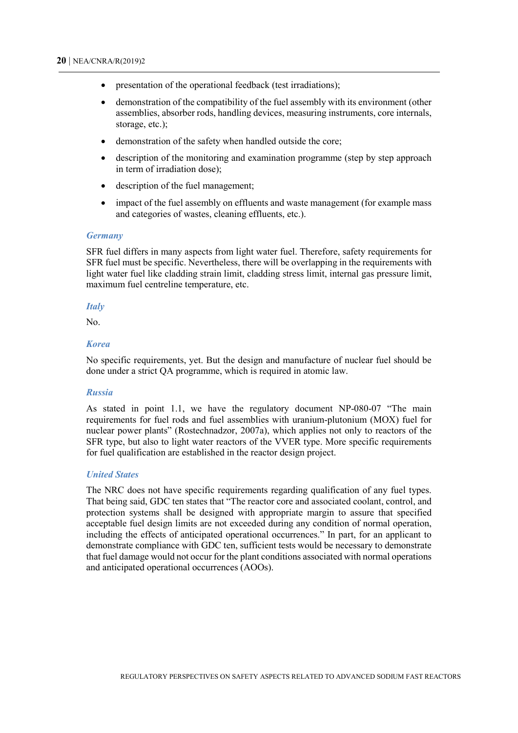- presentation of the operational feedback (test irradiations);
- demonstration of the compatibility of the fuel assembly with its environment (other assemblies, absorber rods, handling devices, measuring instruments, core internals, storage, etc.);
- demonstration of the safety when handled outside the core;
- description of the monitoring and examination programme (step by step approach in term of irradiation dose);
- description of the fuel management;
- impact of the fuel assembly on effluents and waste management (for example mass and categories of wastes, cleaning effluents, etc.).

#### *Germany*

SFR fuel differs in many aspects from light water fuel. Therefore, safety requirements for SFR fuel must be specific. Nevertheless, there will be overlapping in the requirements with light water fuel like cladding strain limit, cladding stress limit, internal gas pressure limit, maximum fuel centreline temperature, etc.

#### *Italy*

No.

#### *Korea*

No specific requirements, yet. But the design and manufacture of nuclear fuel should be done under a strict QA programme, which is required in atomic law.

#### *Russia*

As stated in point 1.1, we have the regulatory document NP-080-07 "The main requirements for fuel rods and fuel assemblies with uranium-plutonium (MOX) fuel for nuclear power plants" (Rostechnadzor, 2007a), which applies not only to reactors of the SFR type, but also to light water reactors of the VVER type. More specific requirements for fuel qualification are established in the reactor design project.

#### *United States*

The NRC does not have specific requirements regarding qualification of any fuel types. That being said, GDC ten states that "The reactor core and associated coolant, control, and protection systems shall be designed with appropriate margin to assure that specified acceptable fuel design limits are not exceeded during any condition of normal operation, including the effects of anticipated operational occurrences." In part, for an applicant to demonstrate compliance with GDC ten, sufficient tests would be necessary to demonstrate that fuel damage would not occur for the plant conditions associated with normal operations and anticipated operational occurrences (AOOs).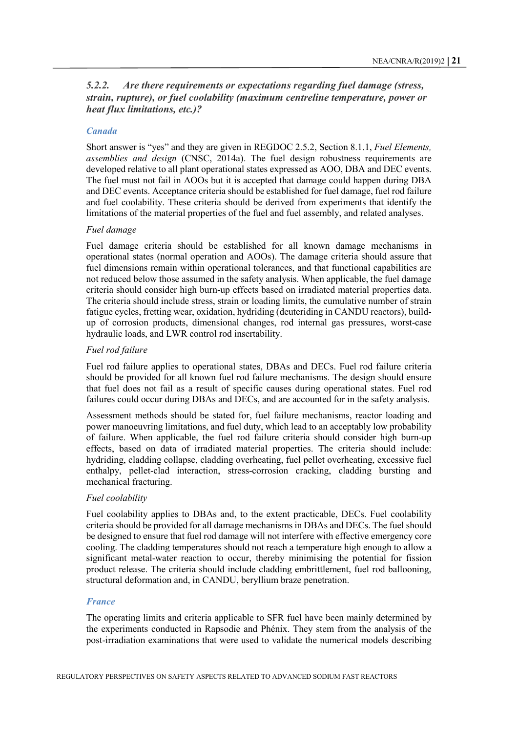#### *5.2.2. Are there requirements or expectations regarding fuel damage (stress, strain, rupture), or fuel coolability (maximum centreline temperature, power or heat flux limitations, etc.)?*

#### *Canada*

Short answer is "yes" and they are given in REGDOC 2.5.2, Section 8.1.1, *Fuel Elements, assemblies and design* (CNSC, 2014a). The fuel design robustness requirements are developed relative to all plant operational states expressed as AOO, DBA and DEC events. The fuel must not fail in AOOs but it is accepted that damage could happen during DBA and DEC events. Acceptance criteria should be established for fuel damage, fuel rod failure and fuel coolability. These criteria should be derived from experiments that identify the limitations of the material properties of the fuel and fuel assembly, and related analyses.

#### *Fuel damage*

Fuel damage criteria should be established for all known damage mechanisms in operational states (normal operation and AOOs). The damage criteria should assure that fuel dimensions remain within operational tolerances, and that functional capabilities are not reduced below those assumed in the safety analysis. When applicable, the fuel damage criteria should consider high burn-up effects based on irradiated material properties data. The criteria should include stress, strain or loading limits, the cumulative number of strain fatigue cycles, fretting wear, oxidation, hydriding (deuteriding in CANDU reactors), buildup of corrosion products, dimensional changes, rod internal gas pressures, worst-case hydraulic loads, and LWR control rod insertability.

#### *Fuel rod failure*

Fuel rod failure applies to operational states, DBAs and DECs. Fuel rod failure criteria should be provided for all known fuel rod failure mechanisms. The design should ensure that fuel does not fail as a result of specific causes during operational states. Fuel rod failures could occur during DBAs and DECs, and are accounted for in the safety analysis.

Assessment methods should be stated for, fuel failure mechanisms, reactor loading and power manoeuvring limitations, and fuel duty, which lead to an acceptably low probability of failure. When applicable, the fuel rod failure criteria should consider high burn-up effects, based on data of irradiated material properties. The criteria should include: hydriding, cladding collapse, cladding overheating, fuel pellet overheating, excessive fuel enthalpy, pellet-clad interaction, stress-corrosion cracking, cladding bursting and mechanical fracturing.

#### *Fuel coolability*

Fuel coolability applies to DBAs and, to the extent practicable, DECs. Fuel coolability criteria should be provided for all damage mechanisms in DBAs and DECs. The fuel should be designed to ensure that fuel rod damage will not interfere with effective emergency core cooling. The cladding temperatures should not reach a temperature high enough to allow a significant metal-water reaction to occur, thereby minimising the potential for fission product release. The criteria should include cladding embrittlement, fuel rod ballooning, structural deformation and, in CANDU, beryllium braze penetration.

#### *France*

The operating limits and criteria applicable to SFR fuel have been mainly determined by the experiments conducted in Rapsodie and Phénix. They stem from the analysis of the post-irradiation examinations that were used to validate the numerical models describing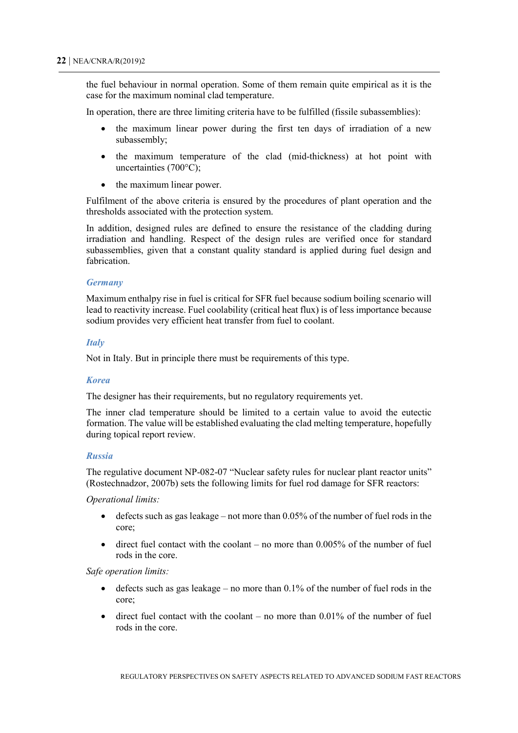the fuel behaviour in normal operation. Some of them remain quite empirical as it is the case for the maximum nominal clad temperature.

In operation, there are three limiting criteria have to be fulfilled (fissile subassemblies):

- the maximum linear power during the first ten days of irradiation of a new subassembly;
- the maximum temperature of the clad (mid-thickness) at hot point with uncertainties (700°C);
- the maximum linear power.

Fulfilment of the above criteria is ensured by the procedures of plant operation and the thresholds associated with the protection system.

In addition, designed rules are defined to ensure the resistance of the cladding during irradiation and handling. Respect of the design rules are verified once for standard subassemblies, given that a constant quality standard is applied during fuel design and fabrication.

#### *Germany*

Maximum enthalpy rise in fuel is critical for SFR fuel because sodium boiling scenario will lead to reactivity increase. Fuel coolability (critical heat flux) is of less importance because sodium provides very efficient heat transfer from fuel to coolant.

#### *Italy*

Not in Italy. But in principle there must be requirements of this type.

#### *Korea*

The designer has their requirements, but no regulatory requirements yet.

The inner clad temperature should be limited to a certain value to avoid the eutectic formation. The value will be established evaluating the clad melting temperature, hopefully during topical report review.

#### *Russia*

The regulative document NP-082-07 "Nuclear safety rules for nuclear plant reactor units" (Rostechnadzor, 2007b) sets the following limits for fuel rod damage for SFR reactors:

*Operational limits:*

- defects such as gas leakage not more than  $0.05\%$  of the number of fuel rods in the core;
- direct fuel contact with the coolant no more than  $0.005\%$  of the number of fuel rods in the core.

#### *Safe operation limits:*

- defects such as gas leakage no more than  $0.1\%$  of the number of fuel rods in the core;
- direct fuel contact with the coolant  $-$  no more than 0.01% of the number of fuel rods in the core.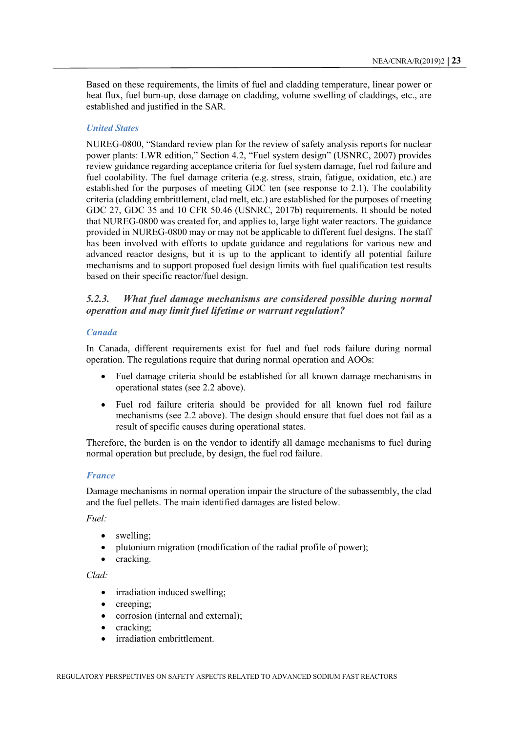Based on these requirements, the limits of fuel and cladding temperature, linear power or heat flux, fuel burn-up, dose damage on cladding, volume swelling of claddings, etc., are established and justified in the SAR.

#### *United States*

NUREG-0800, "Standard review plan for the review of safety analysis reports for nuclear power plants: LWR edition," Section 4.2, "Fuel system design" (USNRC, 2007) provides review guidance regarding acceptance criteria for fuel system damage, fuel rod failure and fuel coolability. The fuel damage criteria (e.g. stress, strain, fatigue, oxidation, etc.) are established for the purposes of meeting GDC ten (see response to 2.1). The coolability criteria (cladding embrittlement, clad melt, etc.) are established for the purposes of meeting GDC 27, GDC 35 and 10 CFR 50.46 (USNRC, 2017b) requirements. It should be noted that NUREG-0800 was created for, and applies to, large light water reactors. The guidance provided in NUREG-0800 may or may not be applicable to different fuel designs. The staff has been involved with efforts to update guidance and regulations for various new and advanced reactor designs, but it is up to the applicant to identify all potential failure mechanisms and to support proposed fuel design limits with fuel qualification test results based on their specific reactor/fuel design.

#### *5.2.3. What fuel damage mechanisms are considered possible during normal operation and may limit fuel lifetime or warrant regulation?*

#### *Canada*

In Canada, different requirements exist for fuel and fuel rods failure during normal operation. The regulations require that during normal operation and AOOs:

- Fuel damage criteria should be established for all known damage mechanisms in operational states (see 2.2 above).
- Fuel rod failure criteria should be provided for all known fuel rod failure mechanisms (see 2.2 above). The design should ensure that fuel does not fail as a result of specific causes during operational states.

Therefore, the burden is on the vendor to identify all damage mechanisms to fuel during normal operation but preclude, by design, the fuel rod failure.

#### *France*

Damage mechanisms in normal operation impair the structure of the subassembly, the clad and the fuel pellets. The main identified damages are listed below.

*Fuel:*

- swelling:
- plutonium migration (modification of the radial profile of power);
- cracking.

#### *Clad:*

- irradiation induced swelling;
- creeping:
- corrosion (internal and external);
- cracking:
- irradiation embrittlement.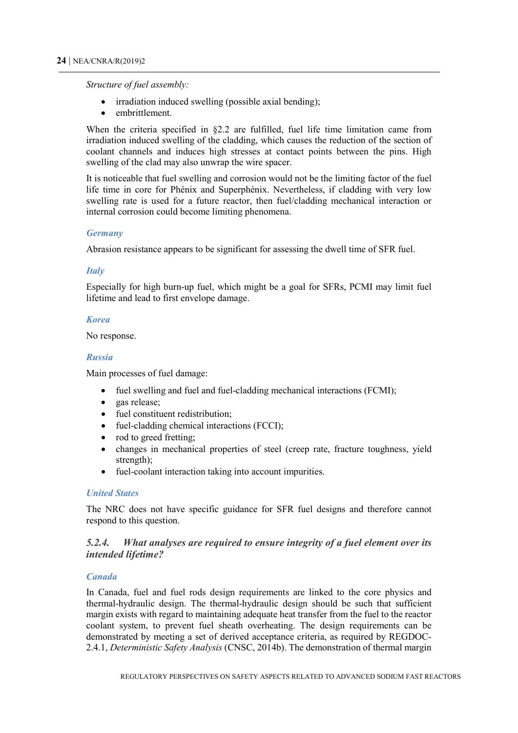*Structure of fuel assembly:*

- irradiation induced swelling (possible axial bending);
- embrittlement.

When the criteria specified in §2.2 are fulfilled, fuel life time limitation came from irradiation induced swelling of the cladding, which causes the reduction of the section of coolant channels and induces high stresses at contact points between the pins. High swelling of the clad may also unwrap the wire spacer.

It is noticeable that fuel swelling and corrosion would not be the limiting factor of the fuel life time in core for Phénix and Superphénix. Nevertheless, if cladding with very low swelling rate is used for a future reactor, then fuel/cladding mechanical interaction or internal corrosion could become limiting phenomena.

#### *Germany*

Abrasion resistance appears to be significant for assessing the dwell time of SFR fuel.

#### *Italy*

Especially for high burn-up fuel, which might be a goal for SFRs, PCMI may limit fuel lifetime and lead to first envelope damage.

#### *Korea*

No response.

#### *Russia*

Main processes of fuel damage:

- fuel swelling and fuel and fuel-cladding mechanical interactions (FCMI);
- gas release;
- fuel constituent redistribution:
- fuel-cladding chemical interactions (FCCI);
- rod to greed fretting;
- changes in mechanical properties of steel (creep rate, fracture toughness, yield strength);
- fuel-coolant interaction taking into account impurities.

#### *United States*

The NRC does not have specific guidance for SFR fuel designs and therefore cannot respond to this question.

#### *5.2.4. What analyses are required to ensure integrity of a fuel element over its intended lifetime?*

#### *Canada*

In Canada, fuel and fuel rods design requirements are linked to the core physics and thermal-hydraulic design. The thermal-hydraulic design should be such that sufficient margin exists with regard to maintaining adequate heat transfer from the fuel to the reactor coolant system, to prevent fuel sheath overheating. The design requirements can be demonstrated by meeting a set of derived acceptance criteria, as required by REGDOC-2.4.1, *Deterministic Safety Analysis* (CNSC, 2014b). The demonstration of thermal margin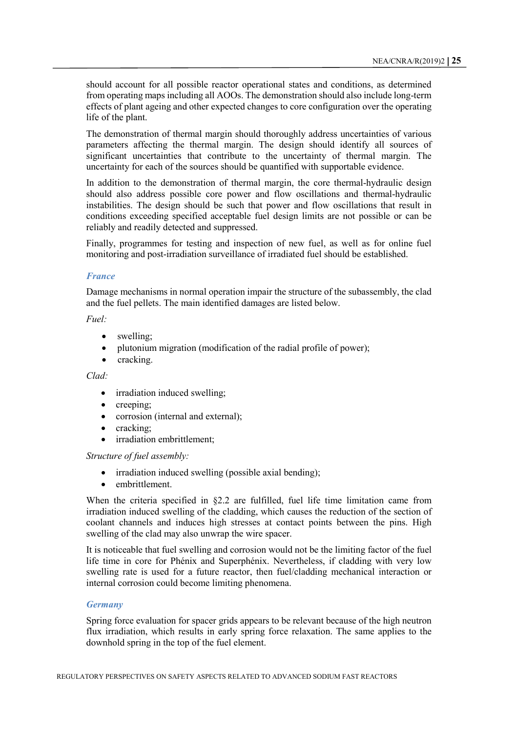should account for all possible reactor operational states and conditions, as determined from operating maps including all AOOs. The demonstration should also include long-term effects of plant ageing and other expected changes to core configuration over the operating life of the plant.

The demonstration of thermal margin should thoroughly address uncertainties of various parameters affecting the thermal margin. The design should identify all sources of significant uncertainties that contribute to the uncertainty of thermal margin. The uncertainty for each of the sources should be quantified with supportable evidence.

In addition to the demonstration of thermal margin, the core thermal-hydraulic design should also address possible core power and flow oscillations and thermal-hydraulic instabilities. The design should be such that power and flow oscillations that result in conditions exceeding specified acceptable fuel design limits are not possible or can be reliably and readily detected and suppressed.

Finally, programmes for testing and inspection of new fuel, as well as for online fuel monitoring and post-irradiation surveillance of irradiated fuel should be established.

#### *France*

Damage mechanisms in normal operation impair the structure of the subassembly, the clad and the fuel pellets. The main identified damages are listed below.

#### *Fuel:*

- swelling;
- plutonium migration (modification of the radial profile of power);
- cracking.

#### *Clad:*

- irradiation induced swelling;
- creeping;
- corrosion (internal and external);
- cracking;
- irradiation embrittlement:

#### *Structure of fuel assembly:*

- irradiation induced swelling (possible axial bending);
- embrittlement.

When the criteria specified in §2.2 are fulfilled, fuel life time limitation came from irradiation induced swelling of the cladding, which causes the reduction of the section of coolant channels and induces high stresses at contact points between the pins. High swelling of the clad may also unwrap the wire spacer.

It is noticeable that fuel swelling and corrosion would not be the limiting factor of the fuel life time in core for Phénix and Superphénix. Nevertheless, if cladding with very low swelling rate is used for a future reactor, then fuel/cladding mechanical interaction or internal corrosion could become limiting phenomena.

#### *Germany*

Spring force evaluation for spacer grids appears to be relevant because of the high neutron flux irradiation, which results in early spring force relaxation. The same applies to the downhold spring in the top of the fuel element.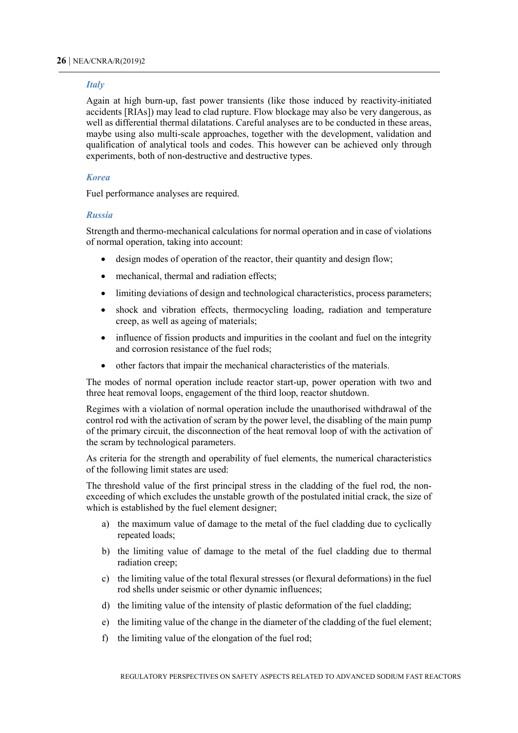#### *Italy*

Again at high burn-up, fast power transients (like those induced by reactivity-initiated accidents [RIAs]) may lead to clad rupture. Flow blockage may also be very dangerous, as well as differential thermal dilatations. Careful analyses are to be conducted in these areas, maybe using also multi-scale approaches, together with the development, validation and qualification of analytical tools and codes. This however can be achieved only through experiments, both of non-destructive and destructive types.

#### *Korea*

Fuel performance analyses are required.

#### *Russia*

Strength and thermo-mechanical calculations for normal operation and in case of violations of normal operation, taking into account:

- design modes of operation of the reactor, their quantity and design flow;
- mechanical, thermal and radiation effects:
- limiting deviations of design and technological characteristics, process parameters;
- shock and vibration effects, thermocycling loading, radiation and temperature creep, as well as ageing of materials;
- influence of fission products and impurities in the coolant and fuel on the integrity and corrosion resistance of the fuel rods;
- other factors that impair the mechanical characteristics of the materials.

The modes of normal operation include reactor start-up, power operation with two and three heat removal loops, engagement of the third loop, reactor shutdown.

Regimes with a violation of normal operation include the unauthorised withdrawal of the control rod with the activation of scram by the power level, the disabling of the main pump of the primary circuit, the disconnection of the heat removal loop of with the activation of the scram by technological parameters.

As criteria for the strength and operability of fuel elements, the numerical characteristics of the following limit states are used:

The threshold value of the first principal stress in the cladding of the fuel rod, the nonexceeding of which excludes the unstable growth of the postulated initial crack, the size of which is established by the fuel element designer;

- a) the maximum value of damage to the metal of the fuel cladding due to cyclically repeated loads;
- b) the limiting value of damage to the metal of the fuel cladding due to thermal radiation creep;
- c) the limiting value of the total flexural stresses (or flexural deformations) in the fuel rod shells under seismic or other dynamic influences;
- d) the limiting value of the intensity of plastic deformation of the fuel cladding;
- e) the limiting value of the change in the diameter of the cladding of the fuel element;
- f) the limiting value of the elongation of the fuel rod;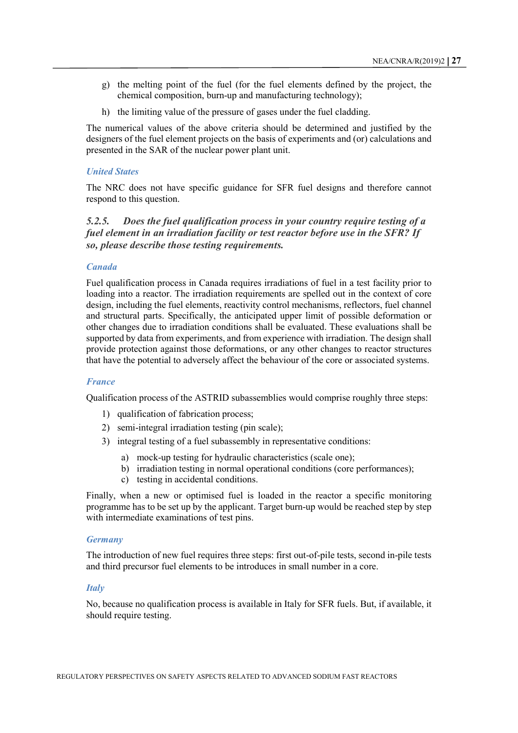- g) the melting point of the fuel (for the fuel elements defined by the project, the chemical composition, burn-up and manufacturing technology);
- h) the limiting value of the pressure of gases under the fuel cladding.

The numerical values of the above criteria should be determined and justified by the designers of the fuel element projects on the basis of experiments and (or) calculations and presented in the SAR of the nuclear power plant unit.

#### *United States*

The NRC does not have specific guidance for SFR fuel designs and therefore cannot respond to this question.

#### *5.2.5. Does the fuel qualification process in your country require testing of a fuel element in an irradiation facility or test reactor before use in the SFR? If so, please describe those testing requirements.*

#### *Canada*

Fuel qualification process in Canada requires irradiations of fuel in a test facility prior to loading into a reactor. The irradiation requirements are spelled out in the context of core design, including the fuel elements, reactivity control mechanisms, reflectors, fuel channel and structural parts. Specifically, the anticipated upper limit of possible deformation or other changes due to irradiation conditions shall be evaluated. These evaluations shall be supported by data from experiments, and from experience with irradiation. The design shall provide protection against those deformations, or any other changes to reactor structures that have the potential to adversely affect the behaviour of the core or associated systems.

#### *France*

Qualification process of the ASTRID subassemblies would comprise roughly three steps:

- 1) qualification of fabrication process;
- 2) semi-integral irradiation testing (pin scale);
- 3) integral testing of a fuel subassembly in representative conditions:
	- a) mock-up testing for hydraulic characteristics (scale one);
	- b) irradiation testing in normal operational conditions (core performances);
	- c) testing in accidental conditions.

Finally, when a new or optimised fuel is loaded in the reactor a specific monitoring programme has to be set up by the applicant. Target burn-up would be reached step by step with intermediate examinations of test pins.

#### *Germany*

The introduction of new fuel requires three steps: first out-of-pile tests, second in-pile tests and third precursor fuel elements to be introduces in small number in a core.

#### *Italy*

No, because no qualification process is available in Italy for SFR fuels. But, if available, it should require testing.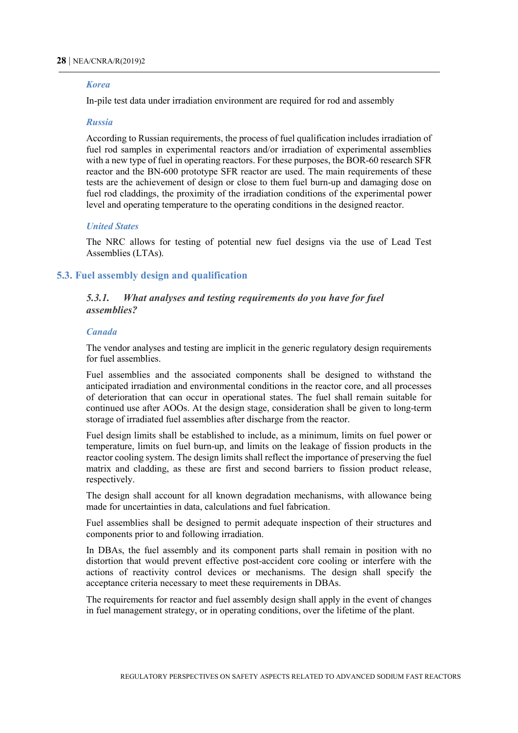#### *Korea*

In-pile test data under irradiation environment are required for rod and assembly

#### *Russia*

According to Russian requirements, the process of fuel qualification includes irradiation of fuel rod samples in experimental reactors and/or irradiation of experimental assemblies with a new type of fuel in operating reactors. For these purposes, the BOR-60 research SFR reactor and the BN-600 prototype SFR reactor are used. The main requirements of these tests are the achievement of design or close to them fuel burn-up and damaging dose on fuel rod claddings, the proximity of the irradiation conditions of the experimental power level and operating temperature to the operating conditions in the designed reactor.

#### *United States*

The NRC allows for testing of potential new fuel designs via the use of Lead Test Assemblies (LTAs).

#### <span id="page-29-0"></span>**5.3. Fuel assembly design and qualification**

#### *5.3.1. What analyses and testing requirements do you have for fuel assemblies?*

#### *Canada*

The vendor analyses and testing are implicit in the generic regulatory design requirements for fuel assemblies.

Fuel assemblies and the associated components shall be designed to withstand the anticipated irradiation and environmental conditions in the reactor core, and all processes of deterioration that can occur in operational states. The fuel shall remain suitable for continued use after AOOs. At the design stage, consideration shall be given to long-term storage of irradiated fuel assemblies after discharge from the reactor.

Fuel design limits shall be established to include, as a minimum, limits on fuel power or temperature, limits on fuel burn-up, and limits on the leakage of fission products in the reactor cooling system. The design limits shall reflect the importance of preserving the fuel matrix and cladding, as these are first and second barriers to fission product release, respectively.

The design shall account for all known degradation mechanisms, with allowance being made for uncertainties in data, calculations and fuel fabrication.

Fuel assemblies shall be designed to permit adequate inspection of their structures and components prior to and following irradiation.

In DBAs, the fuel assembly and its component parts shall remain in position with no distortion that would prevent effective post-accident core cooling or interfere with the actions of reactivity control devices or mechanisms. The design shall specify the acceptance criteria necessary to meet these requirements in DBAs.

The requirements for reactor and fuel assembly design shall apply in the event of changes in fuel management strategy, or in operating conditions, over the lifetime of the plant.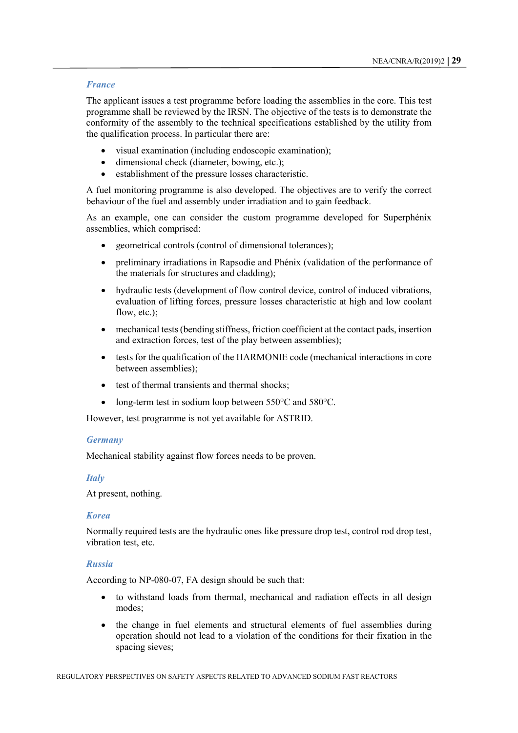#### *France*

The applicant issues a test programme before loading the assemblies in the core. This test programme shall be reviewed by the IRSN. The objective of the tests is to demonstrate the conformity of the assembly to the technical specifications established by the utility from the qualification process. In particular there are:

- visual examination (including endoscopic examination);
- dimensional check (diameter, bowing, etc.);
- establishment of the pressure losses characteristic.

A fuel monitoring programme is also developed. The objectives are to verify the correct behaviour of the fuel and assembly under irradiation and to gain feedback.

As an example, one can consider the custom programme developed for Superphénix assemblies, which comprised:

- geometrical controls (control of dimensional tolerances);
- preliminary irradiations in Rapsodie and Phénix (validation of the performance of the materials for structures and cladding);
- hydraulic tests (development of flow control device, control of induced vibrations, evaluation of lifting forces, pressure losses characteristic at high and low coolant flow, etc.):
- mechanical tests (bending stiffness, friction coefficient at the contact pads, insertion and extraction forces, test of the play between assemblies);
- tests for the qualification of the HARMONIE code (mechanical interactions in core between assemblies);
- test of thermal transients and thermal shocks;
- long-term test in sodium loop between 550°C and 580°C.

However, test programme is not yet available for ASTRID.

#### *Germany*

Mechanical stability against flow forces needs to be proven.

#### *Italy*

At present, nothing.

#### *Korea*

Normally required tests are the hydraulic ones like pressure drop test, control rod drop test, vibration test, etc.

#### *Russia*

According to NP-080-07, FA design should be such that:

- to withstand loads from thermal, mechanical and radiation effects in all design modes;
- the change in fuel elements and structural elements of fuel assemblies during operation should not lead to a violation of the conditions for their fixation in the spacing sieves;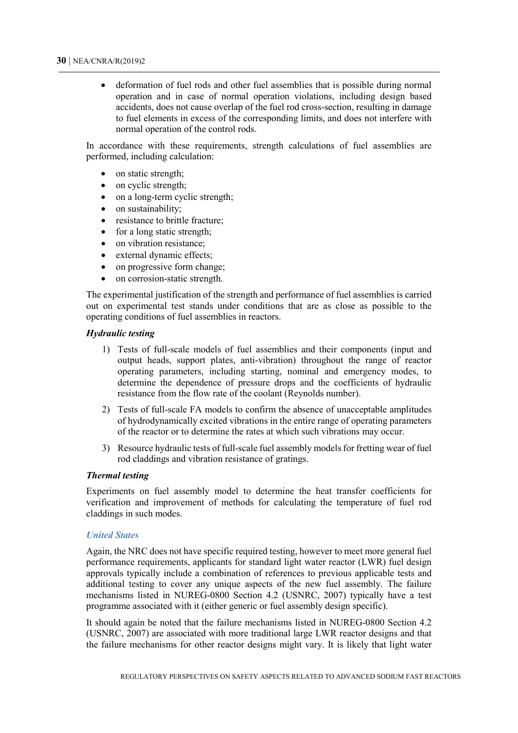• deformation of fuel rods and other fuel assemblies that is possible during normal operation and in case of normal operation violations, including design based accidents, does not cause overlap of the fuel rod cross-section, resulting in damage to fuel elements in excess of the corresponding limits, and does not interfere with normal operation of the control rods.

In accordance with these requirements, strength calculations of fuel assemblies are performed, including calculation:

- on static strength;
- on cyclic strength;
- on a long-term cyclic strength:
- on sustainability;
- resistance to brittle fracture;
- for a long static strength;
- on vibration resistance;
- external dynamic effects;
- on progressive form change;
- on corrosion-static strength.

The experimental justification of the strength and performance of fuel assemblies is carried out on experimental test stands under conditions that are as close as possible to the operating conditions of fuel assemblies in reactors.

#### *Hydraulic testing*

- 1) Tests of full-scale models of fuel assemblies and their components (input and output heads, support plates, anti-vibration) throughout the range of reactor operating parameters, including starting, nominal and emergency modes, to determine the dependence of pressure drops and the coefficients of hydraulic resistance from the flow rate of the coolant (Reynolds number).
- 2) Tests of full-scale FA models to confirm the absence of unacceptable amplitudes of hydrodynamically excited vibrations in the entire range of operating parameters of the reactor or to determine the rates at which such vibrations may occur.
- 3) Resource hydraulic tests of full-scale fuel assembly models for fretting wear of fuel rod claddings and vibration resistance of gratings.

#### *Thermal testing*

Experiments on fuel assembly model to determine the heat transfer coefficients for verification and improvement of methods for calculating the temperature of fuel rod claddings in such modes.

#### *United States*

Again, the NRC does not have specific required testing, however to meet more general fuel performance requirements, applicants for standard light water reactor (LWR) fuel design approvals typically include a combination of references to previous applicable tests and additional testing to cover any unique aspects of the new fuel assembly. The failure mechanisms listed in NUREG-0800 Section 4.2 (USNRC, 2007) typically have a test programme associated with it (either generic or fuel assembly design specific).

It should again be noted that the failure mechanisms listed in NUREG-0800 Section 4.2 (USNRC, 2007) are associated with more traditional large LWR reactor designs and that the failure mechanisms for other reactor designs might vary. It is likely that light water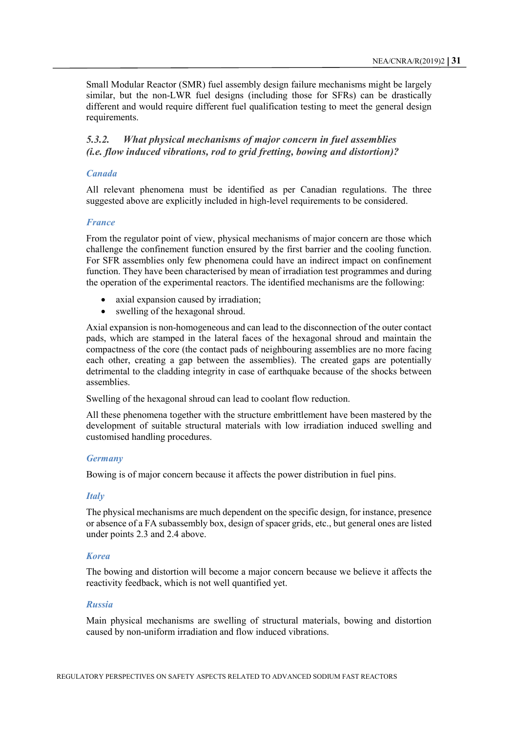Small Modular Reactor (SMR) fuel assembly design failure mechanisms might be largely similar, but the non-LWR fuel designs (including those for SFRs) can be drastically different and would require different fuel qualification testing to meet the general design requirements.

#### *5.3.2. What physical mechanisms of major concern in fuel assemblies (i.e. flow induced vibrations, rod to grid fretting, bowing and distortion)?*

#### *Canada*

All relevant phenomena must be identified as per Canadian regulations. The three suggested above are explicitly included in high-level requirements to be considered.

#### *France*

From the regulator point of view, physical mechanisms of major concern are those which challenge the confinement function ensured by the first barrier and the cooling function. For SFR assemblies only few phenomena could have an indirect impact on confinement function. They have been characterised by mean of irradiation test programmes and during the operation of the experimental reactors. The identified mechanisms are the following:

- axial expansion caused by irradiation;
- swelling of the hexagonal shroud.

Axial expansion is non-homogeneous and can lead to the disconnection of the outer contact pads, which are stamped in the lateral faces of the hexagonal shroud and maintain the compactness of the core (the contact pads of neighbouring assemblies are no more facing each other, creating a gap between the assemblies). The created gaps are potentially detrimental to the cladding integrity in case of earthquake because of the shocks between assemblies.

Swelling of the hexagonal shroud can lead to coolant flow reduction.

All these phenomena together with the structure embrittlement have been mastered by the development of suitable structural materials with low irradiation induced swelling and customised handling procedures.

#### *Germany*

Bowing is of major concern because it affects the power distribution in fuel pins.

#### *Italy*

The physical mechanisms are much dependent on the specific design, for instance, presence or absence of a FA subassembly box, design of spacer grids, etc., but general ones are listed under points 2.3 and 2.4 above.

#### *Korea*

The bowing and distortion will become a major concern because we believe it affects the reactivity feedback, which is not well quantified yet.

#### *Russia*

Main physical mechanisms are swelling of structural materials, bowing and distortion caused by non-uniform irradiation and flow induced vibrations.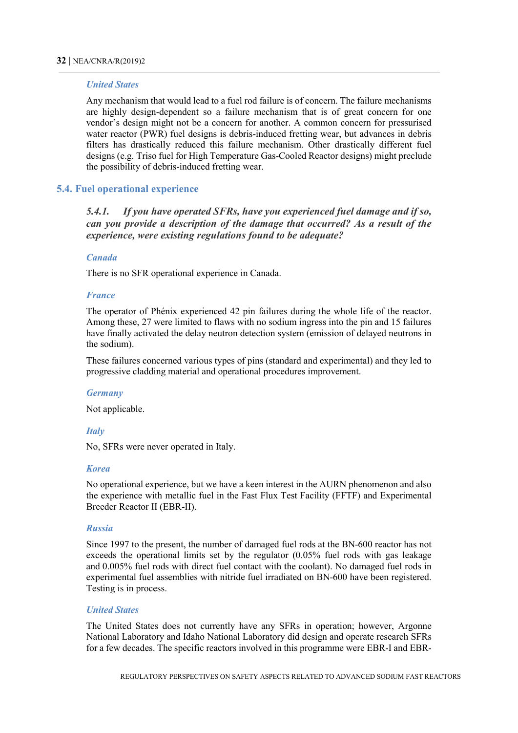#### *United States*

Any mechanism that would lead to a fuel rod failure is of concern. The failure mechanisms are highly design-dependent so a failure mechanism that is of great concern for one vendor's design might not be a concern for another. A common concern for pressurised water reactor (PWR) fuel designs is debris-induced fretting wear, but advances in debris filters has drastically reduced this failure mechanism. Other drastically different fuel designs (e.g. Triso fuel for High Temperature Gas-Cooled Reactor designs) might preclude the possibility of debris-induced fretting wear.

#### <span id="page-33-0"></span>**5.4. Fuel operational experience**

*5.4.1. If you have operated SFRs, have you experienced fuel damage and if so, can you provide a description of the damage that occurred? As a result of the experience, were existing regulations found to be adequate?* 

#### *Canada*

There is no SFR operational experience in Canada.

#### *France*

The operator of Phénix experienced 42 pin failures during the whole life of the reactor. Among these, 27 were limited to flaws with no sodium ingress into the pin and 15 failures have finally activated the delay neutron detection system (emission of delayed neutrons in the sodium).

These failures concerned various types of pins (standard and experimental) and they led to progressive cladding material and operational procedures improvement.

#### *Germany*

Not applicable.

#### *Italy*

No, SFRs were never operated in Italy.

#### *Korea*

No operational experience, but we have a keen interest in the AURN phenomenon and also the experience with metallic fuel in the Fast Flux Test Facility (FFTF) and Experimental Breeder Reactor II (EBR-II).

#### *Russia*

Since 1997 to the present, the number of damaged fuel rods at the BN-600 reactor has not exceeds the operational limits set by the regulator (0.05% fuel rods with gas leakage and 0.005% fuel rods with direct fuel contact with the coolant). No damaged fuel rods in experimental fuel assemblies with nitride fuel irradiated on BN-600 have been registered. Testing is in process.

#### *United States*

The United States does not currently have any SFRs in operation; however, Argonne National Laboratory and Idaho National Laboratory did design and operate research SFRs for a few decades. The specific reactors involved in this programme were EBR-I and EBR-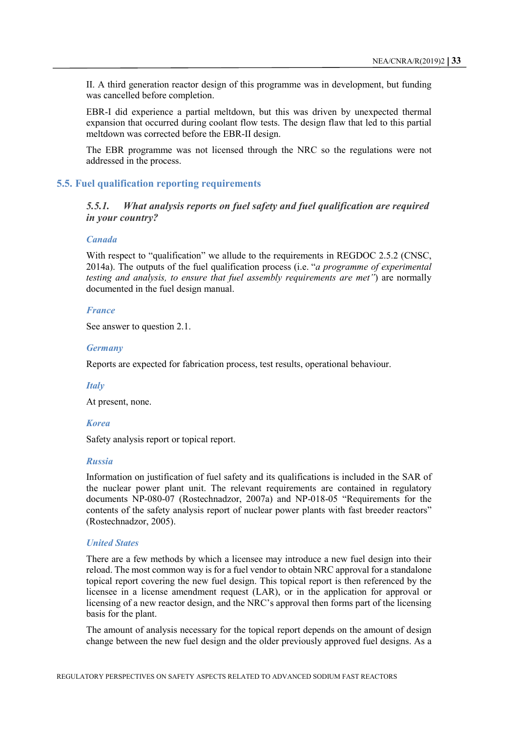II. A third generation reactor design of this programme was in development, but funding was cancelled before completion.

EBR-I did experience a partial meltdown, but this was driven by unexpected thermal expansion that occurred during coolant flow tests. The design flaw that led to this partial meltdown was corrected before the EBR-II design.

The EBR programme was not licensed through the NRC so the regulations were not addressed in the process.

#### <span id="page-34-0"></span>**5.5. Fuel qualification reporting requirements**

*5.5.1. What analysis reports on fuel safety and fuel qualification are required in your country?* 

#### *Canada*

With respect to "qualification" we allude to the requirements in REGDOC 2.5.2 (CNSC, 2014a). The outputs of the fuel qualification process (i.e. "*a programme of experimental testing and analysis, to ensure that fuel assembly requirements are met"*) are normally documented in the fuel design manual.

#### *France*

See answer to question 2.1.

#### *Germany*

Reports are expected for fabrication process, test results, operational behaviour.

#### *Italy*

At present, none.

#### *Korea*

Safety analysis report or topical report.

#### *Russia*

Information on justification of fuel safety and its qualifications is included in the SAR of the nuclear power plant unit. The relevant requirements are contained in regulatory documents NP-080-07 (Rostechnadzor, 2007a) and NP-018-05 "Requirements for the contents of the safety analysis report of nuclear power plants with fast breeder reactors" (Rostechnadzor, 2005).

#### *United States*

There are a few methods by which a licensee may introduce a new fuel design into their reload. The most common way is for a fuel vendor to obtain NRC approval for a standalone topical report covering the new fuel design. This topical report is then referenced by the licensee in a license amendment request (LAR), or in the application for approval or licensing of a new reactor design, and the NRC's approval then forms part of the licensing basis for the plant.

The amount of analysis necessary for the topical report depends on the amount of design change between the new fuel design and the older previously approved fuel designs. As a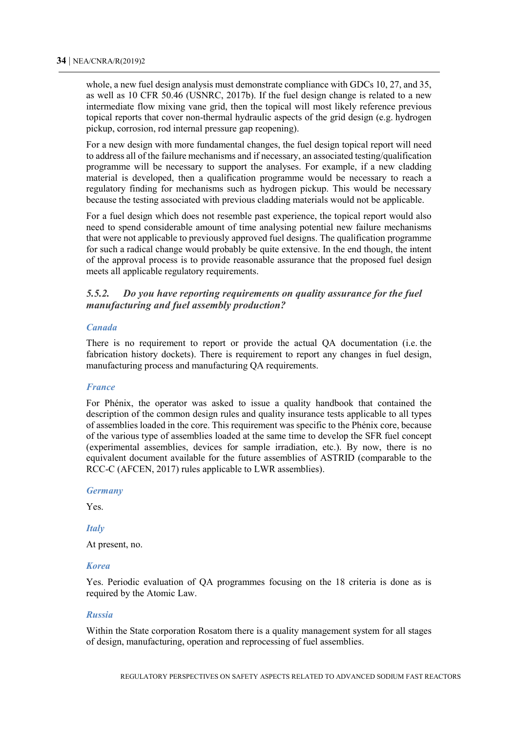whole, a new fuel design analysis must demonstrate compliance with GDCs 10, 27, and 35, as well as 10 CFR 50.46 (USNRC, 2017b). If the fuel design change is related to a new intermediate flow mixing vane grid, then the topical will most likely reference previous topical reports that cover non-thermal hydraulic aspects of the grid design (e.g. hydrogen pickup, corrosion, rod internal pressure gap reopening).

For a new design with more fundamental changes, the fuel design topical report will need to address all of the failure mechanisms and if necessary, an associated testing/qualification programme will be necessary to support the analyses. For example, if a new cladding material is developed, then a qualification programme would be necessary to reach a regulatory finding for mechanisms such as hydrogen pickup. This would be necessary because the testing associated with previous cladding materials would not be applicable.

For a fuel design which does not resemble past experience, the topical report would also need to spend considerable amount of time analysing potential new failure mechanisms that were not applicable to previously approved fuel designs. The qualification programme for such a radical change would probably be quite extensive. In the end though, the intent of the approval process is to provide reasonable assurance that the proposed fuel design meets all applicable regulatory requirements.

#### *5.5.2. Do you have reporting requirements on quality assurance for the fuel manufacturing and fuel assembly production?*

#### *Canada*

There is no requirement to report or provide the actual QA documentation (i.e. the fabrication history dockets). There is requirement to report any changes in fuel design, manufacturing process and manufacturing QA requirements.

#### *France*

For Phénix, the operator was asked to issue a quality handbook that contained the description of the common design rules and quality insurance tests applicable to all types of assemblies loaded in the core. This requirement was specific to the Phénix core, because of the various type of assemblies loaded at the same time to develop the SFR fuel concept (experimental assemblies, devices for sample irradiation, etc.). By now, there is no equivalent document available for the future assemblies of ASTRID (comparable to the RCC-C (AFCEN, 2017) rules applicable to LWR assemblies).

#### *Germany*

Yes.

#### *Italy*

At present, no.

#### *Korea*

Yes. Periodic evaluation of QA programmes focusing on the 18 criteria is done as is required by the Atomic Law.

#### *Russia*

Within the State corporation Rosatom there is a quality management system for all stages of design, manufacturing, operation and reprocessing of fuel assemblies.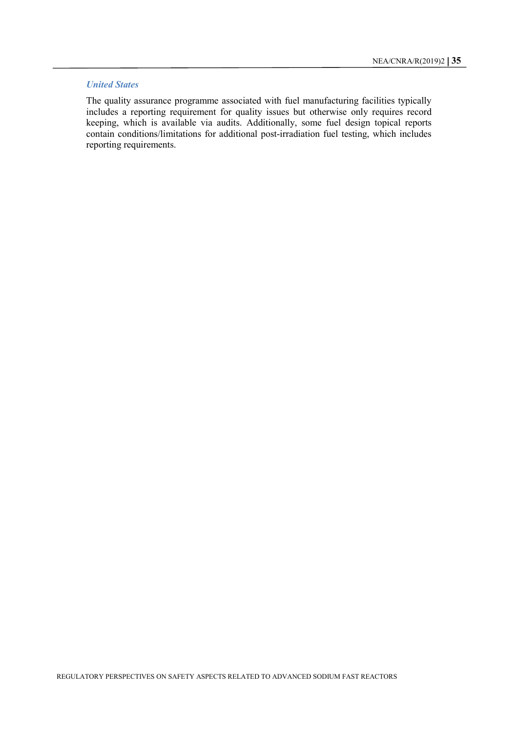#### *United States*

The quality assurance programme associated with fuel manufacturing facilities typically includes a reporting requirement for quality issues but otherwise only requires record keeping, which is available via audits. Additionally, some fuel design topical reports contain conditions/limitations for additional post-irradiation fuel testing, which includes reporting requirements.